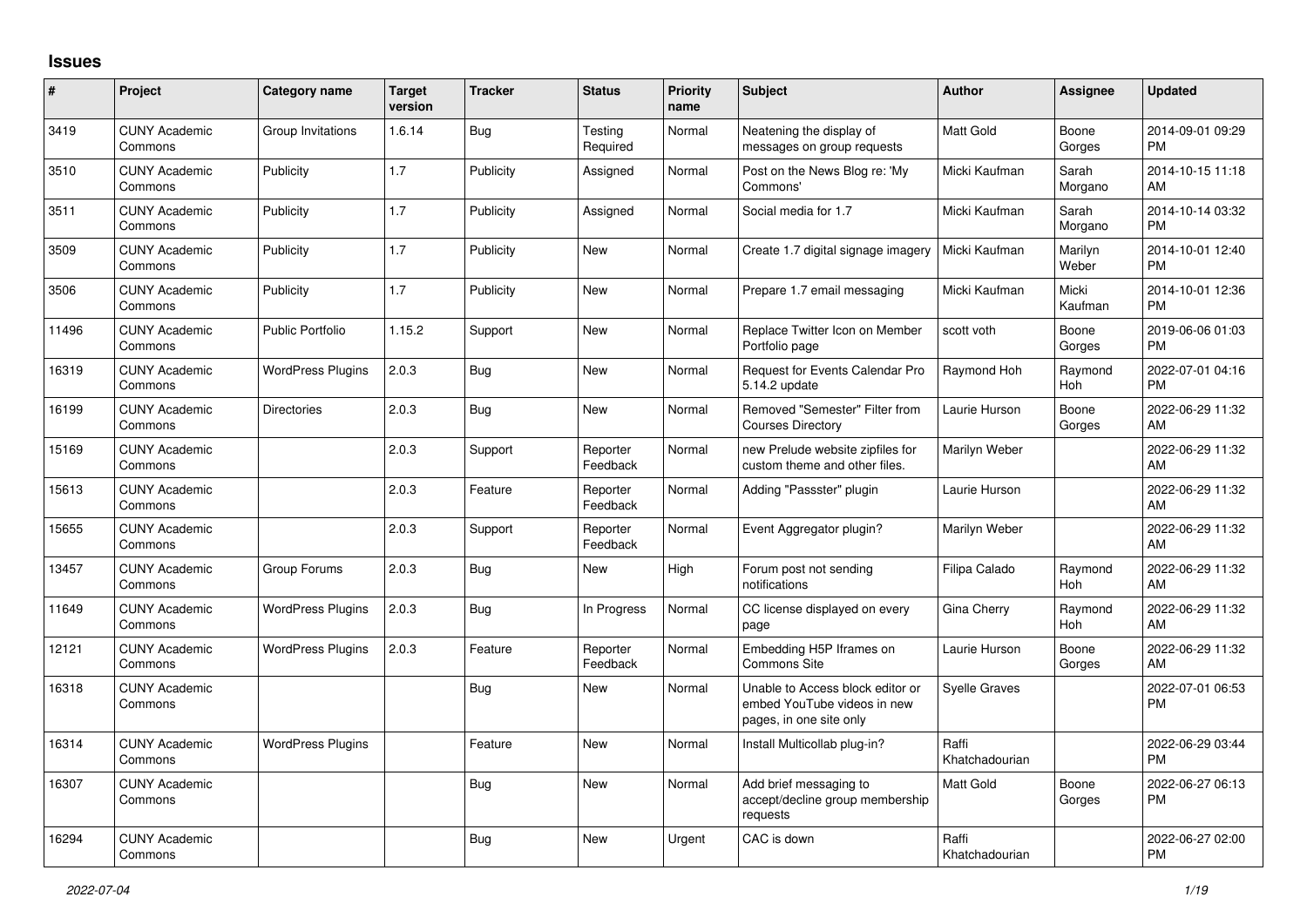## **Issues**

| #     | Project                         | <b>Category name</b>     | <b>Target</b><br>version | <b>Tracker</b> | <b>Status</b>        | <b>Priority</b><br>name | <b>Subject</b>                                                                             | <b>Author</b>           | Assignee         | <b>Updated</b>                |
|-------|---------------------------------|--------------------------|--------------------------|----------------|----------------------|-------------------------|--------------------------------------------------------------------------------------------|-------------------------|------------------|-------------------------------|
| 3419  | <b>CUNY Academic</b><br>Commons | Group Invitations        | 1.6.14                   | <b>Bug</b>     | Testing<br>Required  | Normal                  | Neatening the display of<br>messages on group requests                                     | <b>Matt Gold</b>        | Boone<br>Gorges  | 2014-09-01 09:29<br><b>PM</b> |
| 3510  | <b>CUNY Academic</b><br>Commons | Publicity                | 1.7                      | Publicity      | Assigned             | Normal                  | Post on the News Blog re: 'My<br>Commons'                                                  | Micki Kaufman           | Sarah<br>Morgano | 2014-10-15 11:18<br>AM        |
| 3511  | <b>CUNY Academic</b><br>Commons | Publicity                | 1.7                      | Publicity      | Assigned             | Normal                  | Social media for 1.7                                                                       | Micki Kaufman           | Sarah<br>Morgano | 2014-10-14 03:32<br><b>PM</b> |
| 3509  | <b>CUNY Academic</b><br>Commons | Publicity                | 1.7                      | Publicity      | New                  | Normal                  | Create 1.7 digital signage imagery                                                         | Micki Kaufman           | Marilyn<br>Weber | 2014-10-01 12:40<br><b>PM</b> |
| 3506  | <b>CUNY Academic</b><br>Commons | Publicity                | 1.7                      | Publicity      | New                  | Normal                  | Prepare 1.7 email messaging                                                                | Micki Kaufman           | Micki<br>Kaufman | 2014-10-01 12:36<br><b>PM</b> |
| 11496 | <b>CUNY Academic</b><br>Commons | <b>Public Portfolio</b>  | 1.15.2                   | Support        | New                  | Normal                  | Replace Twitter Icon on Member<br>Portfolio page                                           | scott voth              | Boone<br>Gorges  | 2019-06-06 01:03<br><b>PM</b> |
| 16319 | <b>CUNY Academic</b><br>Commons | <b>WordPress Plugins</b> | 2.0.3                    | Bug            | <b>New</b>           | Normal                  | Request for Events Calendar Pro<br>5.14.2 update                                           | Raymond Hoh             | Raymond<br>Hoh   | 2022-07-01 04:16<br><b>PM</b> |
| 16199 | <b>CUNY Academic</b><br>Commons | <b>Directories</b>       | 2.0.3                    | Bug            | <b>New</b>           | Normal                  | Removed "Semester" Filter from<br><b>Courses Directory</b>                                 | Laurie Hurson           | Boone<br>Gorges  | 2022-06-29 11:32<br>AM        |
| 15169 | <b>CUNY Academic</b><br>Commons |                          | 2.0.3                    | Support        | Reporter<br>Feedback | Normal                  | new Prelude website zipfiles for<br>custom theme and other files.                          | Marilyn Weber           |                  | 2022-06-29 11:32<br>AM        |
| 15613 | <b>CUNY Academic</b><br>Commons |                          | 2.0.3                    | Feature        | Reporter<br>Feedback | Normal                  | Adding "Passster" plugin                                                                   | Laurie Hurson           |                  | 2022-06-29 11:32<br>AM        |
| 15655 | <b>CUNY Academic</b><br>Commons |                          | 2.0.3                    | Support        | Reporter<br>Feedback | Normal                  | Event Aggregator plugin?                                                                   | Marilyn Weber           |                  | 2022-06-29 11:32<br>AM        |
| 13457 | <b>CUNY Academic</b><br>Commons | Group Forums             | 2.0.3                    | Bug            | New                  | High                    | Forum post not sending<br>notifications                                                    | Filipa Calado           | Raymond<br>Hoh   | 2022-06-29 11:32<br>AM        |
| 11649 | <b>CUNY Academic</b><br>Commons | <b>WordPress Plugins</b> | 2.0.3                    | <b>Bug</b>     | In Progress          | Normal                  | CC license displayed on every<br>page                                                      | <b>Gina Cherry</b>      | Raymond<br>Hoh   | 2022-06-29 11:32<br>AM        |
| 12121 | <b>CUNY Academic</b><br>Commons | <b>WordPress Plugins</b> | 2.0.3                    | Feature        | Reporter<br>Feedback | Normal                  | Embedding H5P Iframes on<br><b>Commons Site</b>                                            | Laurie Hurson           | Boone<br>Gorges  | 2022-06-29 11:32<br>AM        |
| 16318 | <b>CUNY Academic</b><br>Commons |                          |                          | Bug            | New                  | Normal                  | Unable to Access block editor or<br>embed YouTube videos in new<br>pages, in one site only | <b>Syelle Graves</b>    |                  | 2022-07-01 06:53<br>PM        |
| 16314 | <b>CUNY Academic</b><br>Commons | <b>WordPress Plugins</b> |                          | Feature        | New                  | Normal                  | Install Multicollab plug-in?                                                               | Raffi<br>Khatchadourian |                  | 2022-06-29 03:44<br><b>PM</b> |
| 16307 | <b>CUNY Academic</b><br>Commons |                          |                          | Bug            | <b>New</b>           | Normal                  | Add brief messaging to<br>accept/decline group membership<br>requests                      | Matt Gold               | Boone<br>Gorges  | 2022-06-27 06:13<br><b>PM</b> |
| 16294 | <b>CUNY Academic</b><br>Commons |                          |                          | Bug            | <b>New</b>           | Urgent                  | CAC is down                                                                                | Raffi<br>Khatchadourian |                  | 2022-06-27 02:00<br><b>PM</b> |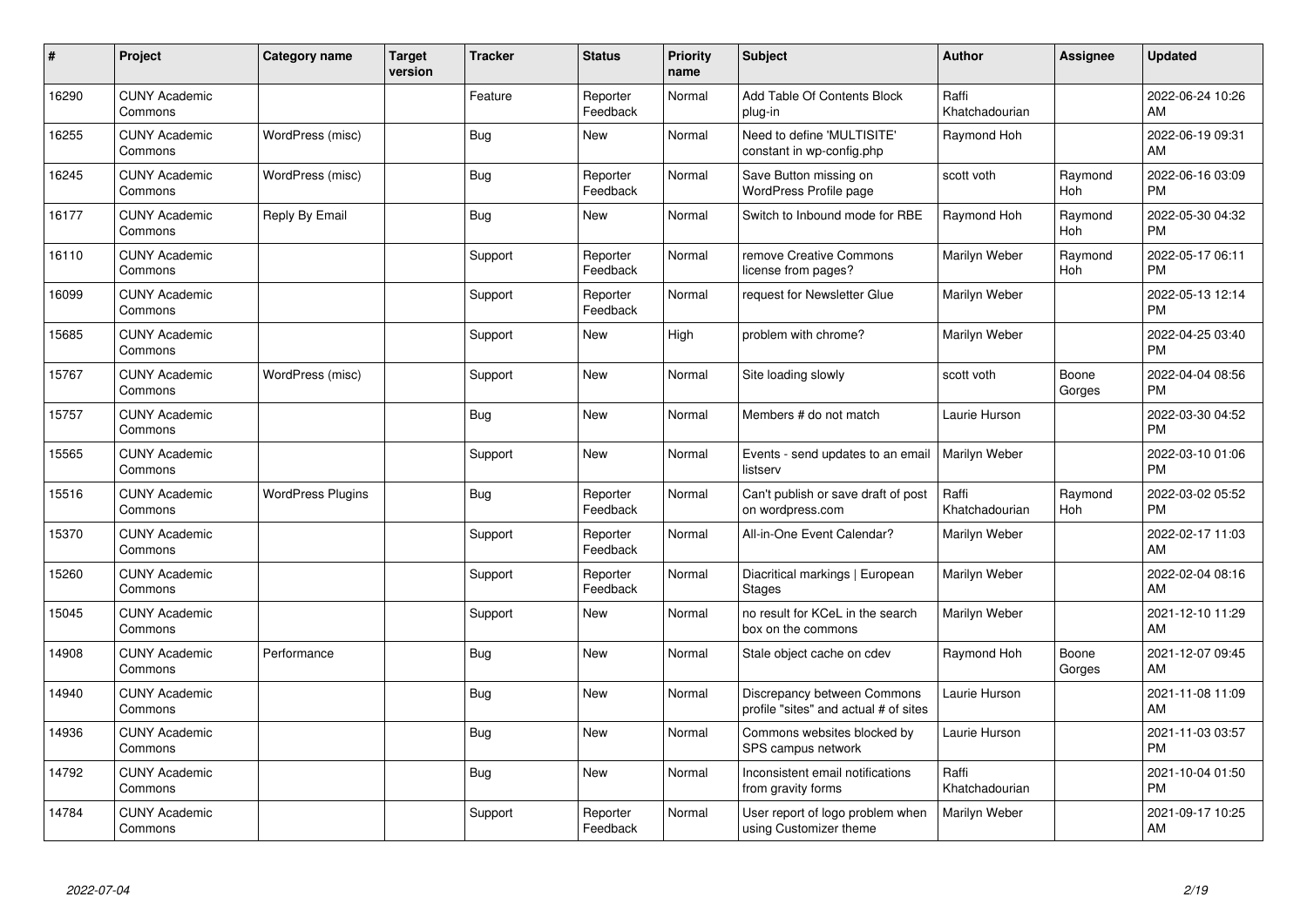| #     | Project                         | <b>Category name</b>     | <b>Target</b><br>version | <b>Tracker</b> | <b>Status</b>        | Priority<br>name | <b>Subject</b>                                                       | <b>Author</b>           | <b>Assignee</b> | <b>Updated</b>                |
|-------|---------------------------------|--------------------------|--------------------------|----------------|----------------------|------------------|----------------------------------------------------------------------|-------------------------|-----------------|-------------------------------|
| 16290 | <b>CUNY Academic</b><br>Commons |                          |                          | Feature        | Reporter<br>Feedback | Normal           | Add Table Of Contents Block<br>plug-in                               | Raffi<br>Khatchadourian |                 | 2022-06-24 10:26<br>AM        |
| 16255 | <b>CUNY Academic</b><br>Commons | WordPress (misc)         |                          | <b>Bug</b>     | <b>New</b>           | Normal           | Need to define 'MULTISITE'<br>constant in wp-config.php              | Raymond Hoh             |                 | 2022-06-19 09:31<br>AM        |
| 16245 | <b>CUNY Academic</b><br>Commons | WordPress (misc)         |                          | Bug            | Reporter<br>Feedback | Normal           | Save Button missing on<br>WordPress Profile page                     | scott voth              | Raymond<br>Hoh  | 2022-06-16 03:09<br><b>PM</b> |
| 16177 | <b>CUNY Academic</b><br>Commons | Reply By Email           |                          | Bug            | <b>New</b>           | Normal           | Switch to Inbound mode for RBE                                       | Raymond Hoh             | Raymond<br>Hoh  | 2022-05-30 04:32<br><b>PM</b> |
| 16110 | <b>CUNY Academic</b><br>Commons |                          |                          | Support        | Reporter<br>Feedback | Normal           | remove Creative Commons<br>license from pages?                       | Marilyn Weber           | Raymond<br>Hoh  | 2022-05-17 06:11<br><b>PM</b> |
| 16099 | <b>CUNY Academic</b><br>Commons |                          |                          | Support        | Reporter<br>Feedback | Normal           | request for Newsletter Glue                                          | Marilyn Weber           |                 | 2022-05-13 12:14<br><b>PM</b> |
| 15685 | <b>CUNY Academic</b><br>Commons |                          |                          | Support        | New                  | High             | problem with chrome?                                                 | Marilyn Weber           |                 | 2022-04-25 03:40<br><b>PM</b> |
| 15767 | <b>CUNY Academic</b><br>Commons | WordPress (misc)         |                          | Support        | <b>New</b>           | Normal           | Site loading slowly                                                  | scott voth              | Boone<br>Gorges | 2022-04-04 08:56<br><b>PM</b> |
| 15757 | <b>CUNY Academic</b><br>Commons |                          |                          | Bug            | <b>New</b>           | Normal           | Members # do not match                                               | Laurie Hurson           |                 | 2022-03-30 04:52<br><b>PM</b> |
| 15565 | <b>CUNY Academic</b><br>Commons |                          |                          | Support        | <b>New</b>           | Normal           | Events - send updates to an email<br>listserv                        | Marilyn Weber           |                 | 2022-03-10 01:06<br><b>PM</b> |
| 15516 | <b>CUNY Academic</b><br>Commons | <b>WordPress Plugins</b> |                          | <b>Bug</b>     | Reporter<br>Feedback | Normal           | Can't publish or save draft of post<br>on wordpress.com              | Raffi<br>Khatchadourian | Raymond<br>Hoh  | 2022-03-02 05:52<br><b>PM</b> |
| 15370 | <b>CUNY Academic</b><br>Commons |                          |                          | Support        | Reporter<br>Feedback | Normal           | All-in-One Event Calendar?                                           | Marilyn Weber           |                 | 2022-02-17 11:03<br>AM        |
| 15260 | <b>CUNY Academic</b><br>Commons |                          |                          | Support        | Reporter<br>Feedback | Normal           | Diacritical markings   European<br><b>Stages</b>                     | <b>Marilyn Weber</b>    |                 | 2022-02-04 08:16<br>AM        |
| 15045 | <b>CUNY Academic</b><br>Commons |                          |                          | Support        | <b>New</b>           | Normal           | no result for KCeL in the search<br>box on the commons               | Marilyn Weber           |                 | 2021-12-10 11:29<br>AM        |
| 14908 | <b>CUNY Academic</b><br>Commons | Performance              |                          | <b>Bug</b>     | <b>New</b>           | Normal           | Stale object cache on cdev                                           | Raymond Hoh             | Boone<br>Gorges | 2021-12-07 09:45<br>AM        |
| 14940 | <b>CUNY Academic</b><br>Commons |                          |                          | Bug            | <b>New</b>           | Normal           | Discrepancy between Commons<br>profile "sites" and actual # of sites | Laurie Hurson           |                 | 2021-11-08 11:09<br>AM        |
| 14936 | <b>CUNY Academic</b><br>Commons |                          |                          | <b>Bug</b>     | New                  | Normal           | Commons websites blocked by<br>SPS campus network                    | Laurie Hurson           |                 | 2021-11-03 03:57<br><b>PM</b> |
| 14792 | <b>CUNY Academic</b><br>Commons |                          |                          | Bug            | <b>New</b>           | Normal           | Inconsistent email notifications<br>from gravity forms               | Raffi<br>Khatchadourian |                 | 2021-10-04 01:50<br><b>PM</b> |
| 14784 | <b>CUNY Academic</b><br>Commons |                          |                          | Support        | Reporter<br>Feedback | Normal           | User report of logo problem when<br>using Customizer theme           | Marilyn Weber           |                 | 2021-09-17 10:25<br>AM        |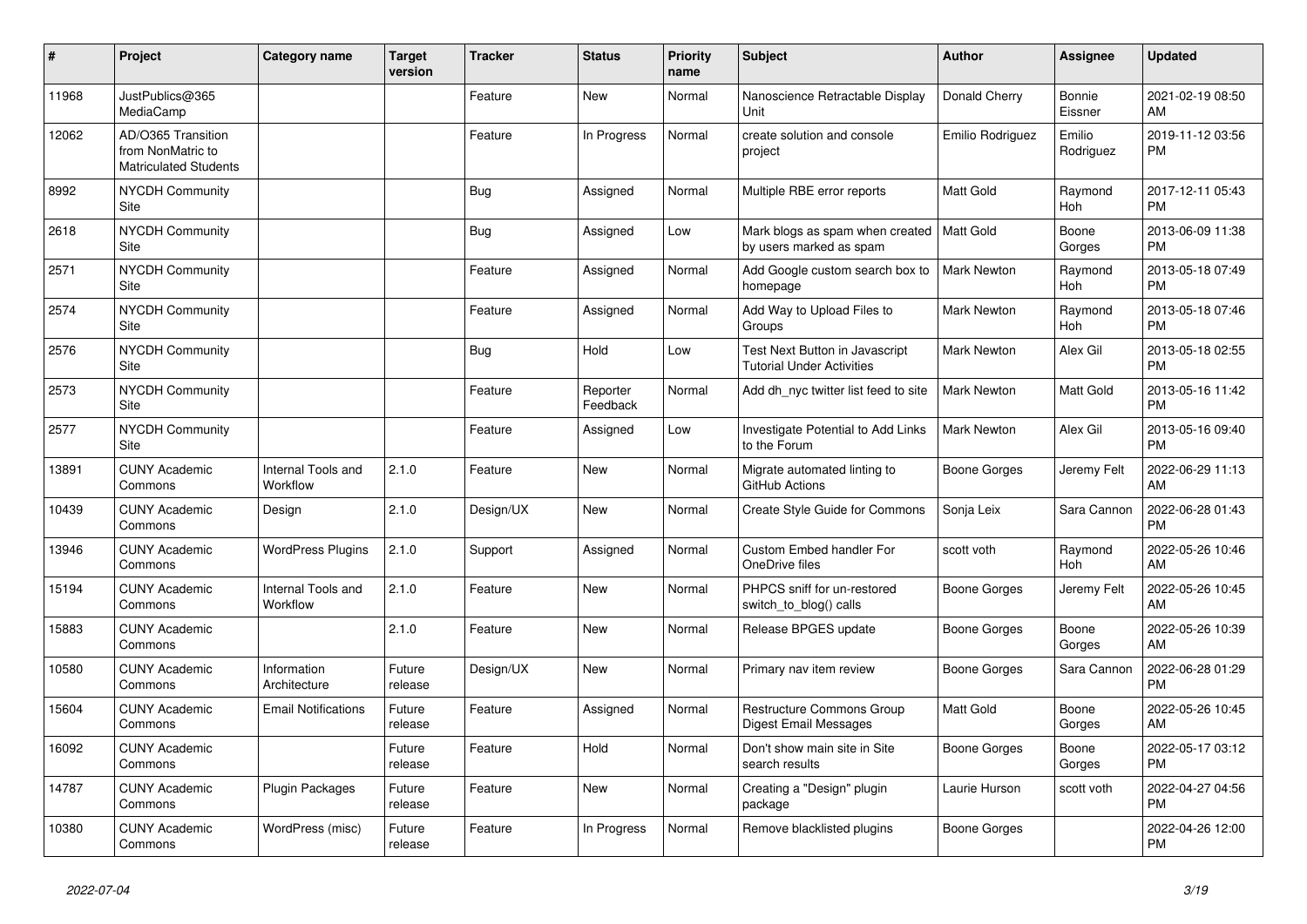| #     | Project                                                                 | <b>Category name</b>           | <b>Target</b><br>version | <b>Tracker</b> | <b>Status</b>        | <b>Priority</b><br>name | <b>Subject</b>                                                         | <b>Author</b>      | Assignee                 | <b>Updated</b>                |
|-------|-------------------------------------------------------------------------|--------------------------------|--------------------------|----------------|----------------------|-------------------------|------------------------------------------------------------------------|--------------------|--------------------------|-------------------------------|
| 11968 | JustPublics@365<br>MediaCamp                                            |                                |                          | Feature        | New                  | Normal                  | Nanoscience Retractable Display<br>Unit                                | Donald Cherry      | <b>Bonnie</b><br>Eissner | 2021-02-19 08:50<br>AM        |
| 12062 | AD/O365 Transition<br>from NonMatric to<br><b>Matriculated Students</b> |                                |                          | Feature        | In Progress          | Normal                  | create solution and console<br>project                                 | Emilio Rodriguez   | Emilio<br>Rodriguez      | 2019-11-12 03:56<br><b>PM</b> |
| 8992  | <b>NYCDH Community</b><br>Site                                          |                                |                          | <b>Bug</b>     | Assigned             | Normal                  | Multiple RBE error reports                                             | <b>Matt Gold</b>   | Raymond<br>Hoh           | 2017-12-11 05:43<br><b>PM</b> |
| 2618  | <b>NYCDH Community</b><br>Site                                          |                                |                          | Bug            | Assigned             | Low                     | Mark blogs as spam when created   Matt Gold<br>by users marked as spam |                    | Boone<br>Gorges          | 2013-06-09 11:38<br><b>PM</b> |
| 2571  | <b>NYCDH Community</b><br>Site                                          |                                |                          | Feature        | Assigned             | Normal                  | Add Google custom search box to<br>homepage                            | Mark Newton        | Raymond<br>Hoh           | 2013-05-18 07:49<br><b>PM</b> |
| 2574  | NYCDH Community<br>Site                                                 |                                |                          | Feature        | Assigned             | Normal                  | Add Way to Upload Files to<br>Groups                                   | <b>Mark Newton</b> | Raymond<br>Hoh           | 2013-05-18 07:46<br><b>PM</b> |
| 2576  | NYCDH Community<br>Site                                                 |                                |                          | Bug            | Hold                 | Low                     | Test Next Button in Javascript<br><b>Tutorial Under Activities</b>     | <b>Mark Newton</b> | Alex Gil                 | 2013-05-18 02:55<br><b>PM</b> |
| 2573  | NYCDH Community<br><b>Site</b>                                          |                                |                          | Feature        | Reporter<br>Feedback | Normal                  | Add dh_nyc twitter list feed to site                                   | <b>Mark Newton</b> | Matt Gold                | 2013-05-16 11:42<br><b>PM</b> |
| 2577  | NYCDH Community<br>Site                                                 |                                |                          | Feature        | Assigned             | Low                     | Investigate Potential to Add Links<br>to the Forum                     | <b>Mark Newton</b> | Alex Gil                 | 2013-05-16 09:40<br><b>PM</b> |
| 13891 | <b>CUNY Academic</b><br>Commons                                         | Internal Tools and<br>Workflow | 2.1.0                    | Feature        | <b>New</b>           | Normal                  | Migrate automated linting to<br>GitHub Actions                         | Boone Gorges       | Jeremy Felt              | 2022-06-29 11:13<br>AM        |
| 10439 | <b>CUNY Academic</b><br>Commons                                         | Design                         | 2.1.0                    | Design/UX      | New                  | Normal                  | Create Style Guide for Commons                                         | Sonja Leix         | Sara Cannon              | 2022-06-28 01:43<br><b>PM</b> |
| 13946 | <b>CUNY Academic</b><br>Commons                                         | <b>WordPress Plugins</b>       | 2.1.0                    | Support        | Assigned             | Normal                  | Custom Embed handler For<br>OneDrive files                             | scott voth         | Raymond<br>Hoh           | 2022-05-26 10:46<br>AM        |
| 15194 | <b>CUNY Academic</b><br>Commons                                         | Internal Tools and<br>Workflow | 2.1.0                    | Feature        | <b>New</b>           | Normal                  | PHPCS sniff for un-restored<br>switch_to_blog() calls                  | Boone Gorges       | Jeremy Felt              | 2022-05-26 10:45<br>AM        |
| 15883 | <b>CUNY Academic</b><br>Commons                                         |                                | 2.1.0                    | Feature        | <b>New</b>           | Normal                  | Release BPGES update                                                   | Boone Gorges       | Boone<br>Gorges          | 2022-05-26 10:39<br>AM        |
| 10580 | <b>CUNY Academic</b><br>Commons                                         | Information<br>Architecture    | Future<br>release        | Design/UX      | <b>New</b>           | Normal                  | Primary nav item review                                                | Boone Gorges       | Sara Cannon              | 2022-06-28 01:29<br><b>PM</b> |
| 15604 | <b>CUNY Academic</b><br>Commons                                         | <b>Email Notifications</b>     | Future<br>release        | Feature        | Assigned             | Normal                  | Restructure Commons Group<br><b>Digest Email Messages</b>              | Matt Gold          | Boone<br>Gorges          | 2022-05-26 10:45<br>AM        |
| 16092 | <b>CUNY Academic</b><br>Commons                                         |                                | Future<br>release        | Feature        | Hold                 | Normal                  | Don't show main site in Site<br>search results                         | Boone Gorges       | Boone<br>Gorges          | 2022-05-17 03:12<br><b>PM</b> |
| 14787 | <b>CUNY Academic</b><br>Commons                                         | <b>Plugin Packages</b>         | Future<br>release        | Feature        | <b>New</b>           | Normal                  | Creating a "Design" plugin<br>package                                  | Laurie Hurson      | scott voth               | 2022-04-27 04:56<br><b>PM</b> |
| 10380 | <b>CUNY Academic</b><br>Commons                                         | WordPress (misc)               | Future<br>release        | Feature        | In Progress          | Normal                  | Remove blacklisted plugins                                             | Boone Gorges       |                          | 2022-04-26 12:00<br><b>PM</b> |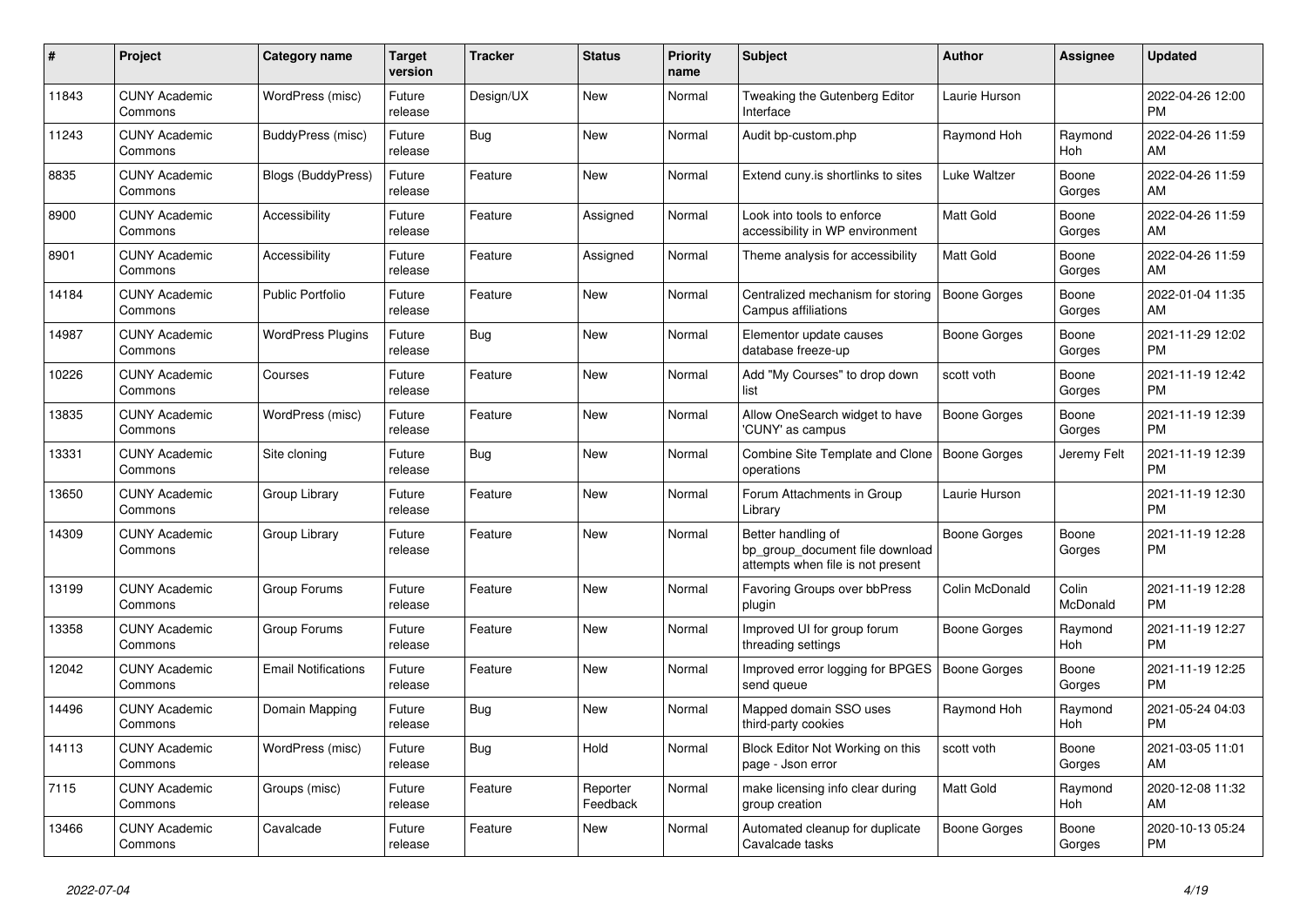| $\#$  | Project                         | <b>Category name</b>       | Target<br>version | <b>Tracker</b> | <b>Status</b>        | <b>Priority</b><br>name | <b>Subject</b>                                                                             | <b>Author</b>    | Assignee          | <b>Updated</b>                |
|-------|---------------------------------|----------------------------|-------------------|----------------|----------------------|-------------------------|--------------------------------------------------------------------------------------------|------------------|-------------------|-------------------------------|
| 11843 | <b>CUNY Academic</b><br>Commons | WordPress (misc)           | Future<br>release | Design/UX      | New                  | Normal                  | Tweaking the Gutenberg Editor<br>Interface                                                 | Laurie Hurson    |                   | 2022-04-26 12:00<br><b>PM</b> |
| 11243 | <b>CUNY Academic</b><br>Commons | BuddyPress (misc)          | Future<br>release | Bug            | New                  | Normal                  | Audit bp-custom.php                                                                        | Raymond Hoh      | Raymond<br>Hoh    | 2022-04-26 11:59<br>AM        |
| 8835  | <b>CUNY Academic</b><br>Commons | Blogs (BuddyPress)         | Future<br>release | Feature        | <b>New</b>           | Normal                  | Extend cuny is shortlinks to sites                                                         | Luke Waltzer     | Boone<br>Gorges   | 2022-04-26 11:59<br>AM        |
| 8900  | <b>CUNY Academic</b><br>Commons | Accessibility              | Future<br>release | Feature        | Assigned             | Normal                  | Look into tools to enforce<br>accessibility in WP environment                              | Matt Gold        | Boone<br>Gorges   | 2022-04-26 11:59<br>AM        |
| 8901  | <b>CUNY Academic</b><br>Commons | Accessibility              | Future<br>release | Feature        | Assigned             | Normal                  | Theme analysis for accessibility                                                           | <b>Matt Gold</b> | Boone<br>Gorges   | 2022-04-26 11:59<br>AM        |
| 14184 | <b>CUNY Academic</b><br>Commons | <b>Public Portfolio</b>    | Future<br>release | Feature        | New                  | Normal                  | Centralized mechanism for storing<br>Campus affiliations                                   | Boone Gorges     | Boone<br>Gorges   | 2022-01-04 11:35<br>AM        |
| 14987 | <b>CUNY Academic</b><br>Commons | <b>WordPress Plugins</b>   | Future<br>release | <b>Bug</b>     | <b>New</b>           | Normal                  | Elementor update causes<br>database freeze-up                                              | Boone Gorges     | Boone<br>Gorges   | 2021-11-29 12:02<br><b>PM</b> |
| 10226 | <b>CUNY Academic</b><br>Commons | Courses                    | Future<br>release | Feature        | <b>New</b>           | Normal                  | Add "My Courses" to drop down<br>list                                                      | scott voth       | Boone<br>Gorges   | 2021-11-19 12:42<br><b>PM</b> |
| 13835 | <b>CUNY Academic</b><br>Commons | WordPress (misc)           | Future<br>release | Feature        | New                  | Normal                  | Allow OneSearch widget to have<br>'CUNY' as campus                                         | Boone Gorges     | Boone<br>Gorges   | 2021-11-19 12:39<br><b>PM</b> |
| 13331 | <b>CUNY Academic</b><br>Commons | Site cloning               | Future<br>release | <b>Bug</b>     | New                  | Normal                  | Combine Site Template and Clone<br>operations                                              | Boone Gorges     | Jeremy Felt       | 2021-11-19 12:39<br><b>PM</b> |
| 13650 | <b>CUNY Academic</b><br>Commons | Group Library              | Future<br>release | Feature        | <b>New</b>           | Normal                  | Forum Attachments in Group<br>Library                                                      | Laurie Hurson    |                   | 2021-11-19 12:30<br><b>PM</b> |
| 14309 | <b>CUNY Academic</b><br>Commons | Group Library              | Future<br>release | Feature        | New                  | Normal                  | Better handling of<br>bp_group_document file download<br>attempts when file is not present | Boone Gorges     | Boone<br>Gorges   | 2021-11-19 12:28<br><b>PM</b> |
| 13199 | <b>CUNY Academic</b><br>Commons | Group Forums               | Future<br>release | Feature        | <b>New</b>           | Normal                  | <b>Favoring Groups over bbPress</b><br>plugin                                              | Colin McDonald   | Colin<br>McDonald | 2021-11-19 12:28<br><b>PM</b> |
| 13358 | <b>CUNY Academic</b><br>Commons | Group Forums               | Future<br>release | Feature        | New                  | Normal                  | Improved UI for group forum<br>threading settings                                          | Boone Gorges     | Raymond<br>Hoh    | 2021-11-19 12:27<br><b>PM</b> |
| 12042 | <b>CUNY Academic</b><br>Commons | <b>Email Notifications</b> | Future<br>release | Feature        | New                  | Normal                  | Improved error logging for BPGES<br>send queue                                             | Boone Gorges     | Boone<br>Gorges   | 2021-11-19 12:25<br>PM        |
| 14496 | <b>CUNY Academic</b><br>Commons | Domain Mapping             | Future<br>release | <b>Bug</b>     | New                  | Normal                  | Mapped domain SSO uses<br>third-party cookies                                              | Raymond Hoh      | Raymond<br>Hoh    | 2021-05-24 04:03<br><b>PM</b> |
| 14113 | <b>CUNY Academic</b><br>Commons | WordPress (misc)           | Future<br>release | <b>Bug</b>     | Hold                 | Normal                  | Block Editor Not Working on this<br>page - Json error                                      | scott voth       | Boone<br>Gorges   | 2021-03-05 11:01<br>AM        |
| 7115  | <b>CUNY Academic</b><br>Commons | Groups (misc)              | Future<br>release | Feature        | Reporter<br>Feedback | Normal                  | make licensing info clear during<br>group creation                                         | <b>Matt Gold</b> | Raymond<br>Hoh    | 2020-12-08 11:32<br>AM        |
| 13466 | <b>CUNY Academic</b><br>Commons | Cavalcade                  | Future<br>release | Feature        | <b>New</b>           | Normal                  | Automated cleanup for duplicate<br>Cavalcade tasks                                         | Boone Gorges     | Boone<br>Gorges   | 2020-10-13 05:24<br>PM        |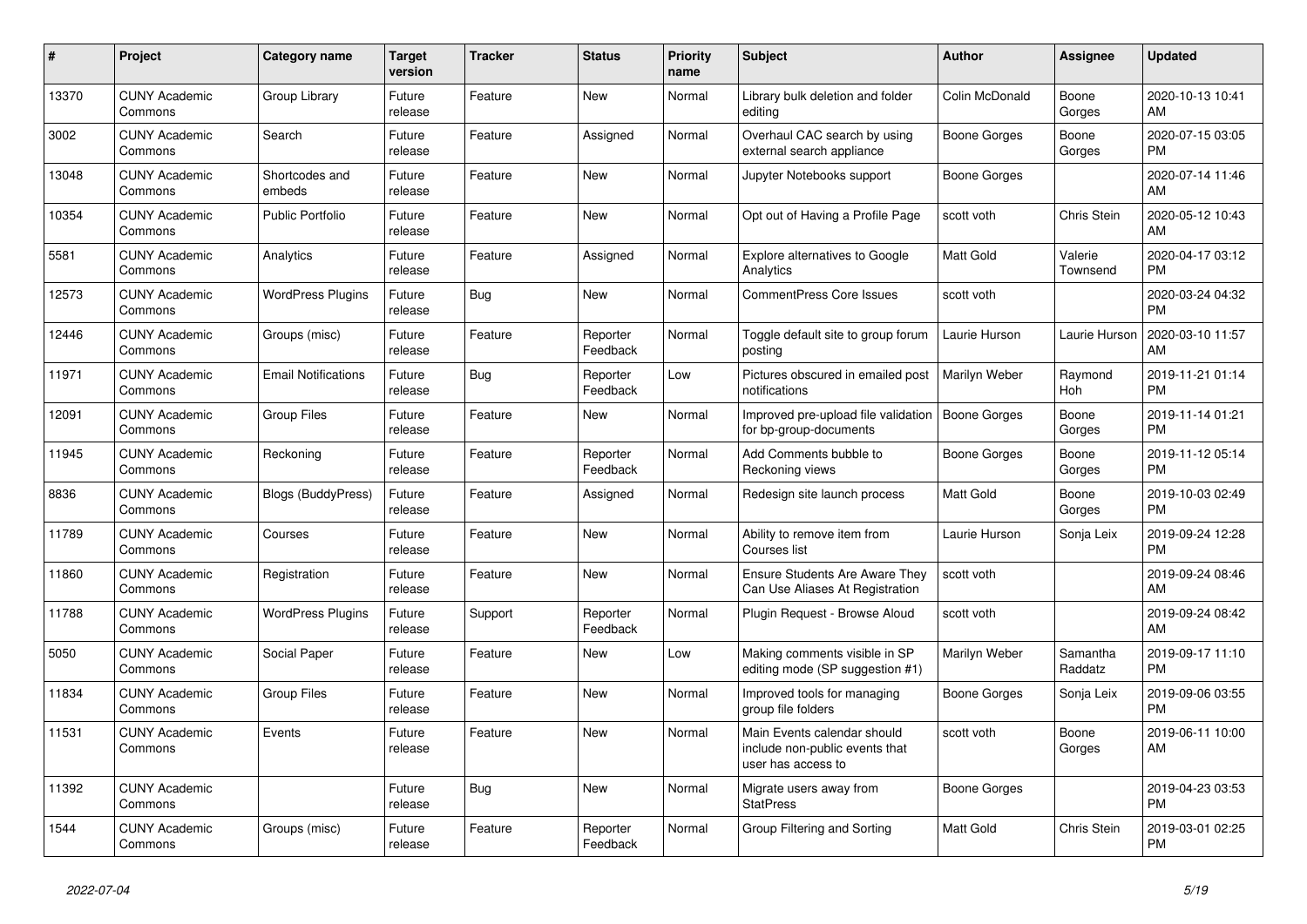| #     | Project                         | Category name              | <b>Target</b><br>version | <b>Tracker</b> | <b>Status</b>        | <b>Priority</b><br>name | <b>Subject</b>                                                                      | <b>Author</b>       | Assignee            | <b>Updated</b>                |
|-------|---------------------------------|----------------------------|--------------------------|----------------|----------------------|-------------------------|-------------------------------------------------------------------------------------|---------------------|---------------------|-------------------------------|
| 13370 | <b>CUNY Academic</b><br>Commons | Group Library              | Future<br>release        | Feature        | New                  | Normal                  | Library bulk deletion and folder<br>editing                                         | Colin McDonald      | Boone<br>Gorges     | 2020-10-13 10:41<br>AM        |
| 3002  | <b>CUNY Academic</b><br>Commons | Search                     | Future<br>release        | Feature        | Assigned             | Normal                  | Overhaul CAC search by using<br>external search appliance                           | Boone Gorges        | Boone<br>Gorges     | 2020-07-15 03:05<br><b>PM</b> |
| 13048 | <b>CUNY Academic</b><br>Commons | Shortcodes and<br>embeds   | Future<br>release        | Feature        | New                  | Normal                  | Jupyter Notebooks support                                                           | Boone Gorges        |                     | 2020-07-14 11:46<br>AM        |
| 10354 | <b>CUNY Academic</b><br>Commons | <b>Public Portfolio</b>    | Future<br>release        | Feature        | <b>New</b>           | Normal                  | Opt out of Having a Profile Page                                                    | scott voth          | Chris Stein         | 2020-05-12 10:43<br>AM        |
| 5581  | <b>CUNY Academic</b><br>Commons | Analytics                  | Future<br>release        | Feature        | Assigned             | Normal                  | Explore alternatives to Google<br>Analytics                                         | Matt Gold           | Valerie<br>Townsend | 2020-04-17 03:12<br><b>PM</b> |
| 12573 | <b>CUNY Academic</b><br>Commons | <b>WordPress Plugins</b>   | Future<br>release        | Bug            | New                  | Normal                  | <b>CommentPress Core Issues</b>                                                     | scott voth          |                     | 2020-03-24 04:32<br><b>PM</b> |
| 12446 | <b>CUNY Academic</b><br>Commons | Groups (misc)              | Future<br>release        | Feature        | Reporter<br>Feedback | Normal                  | Toggle default site to group forum<br>posting                                       | Laurie Hurson       | Laurie Hurson       | 2020-03-10 11:57<br>AM        |
| 11971 | <b>CUNY Academic</b><br>Commons | <b>Email Notifications</b> | Future<br>release        | Bug            | Reporter<br>Feedback | Low                     | Pictures obscured in emailed post<br>notifications                                  | Marilyn Weber       | Raymond<br>Hoh      | 2019-11-21 01:14<br><b>PM</b> |
| 12091 | <b>CUNY Academic</b><br>Commons | <b>Group Files</b>         | Future<br>release        | Feature        | New                  | Normal                  | Improved pre-upload file validation<br>for bp-group-documents                       | <b>Boone Gorges</b> | Boone<br>Gorges     | 2019-11-14 01:21<br><b>PM</b> |
| 11945 | <b>CUNY Academic</b><br>Commons | Reckoning                  | Future<br>release        | Feature        | Reporter<br>Feedback | Normal                  | Add Comments bubble to<br>Reckoning views                                           | <b>Boone Gorges</b> | Boone<br>Gorges     | 2019-11-12 05:14<br><b>PM</b> |
| 8836  | <b>CUNY Academic</b><br>Commons | <b>Blogs (BuddyPress)</b>  | Future<br>release        | Feature        | Assigned             | Normal                  | Redesign site launch process                                                        | Matt Gold           | Boone<br>Gorges     | 2019-10-03 02:49<br><b>PM</b> |
| 11789 | <b>CUNY Academic</b><br>Commons | Courses                    | Future<br>release        | Feature        | New                  | Normal                  | Ability to remove item from<br>Courses list                                         | Laurie Hurson       | Sonja Leix          | 2019-09-24 12:28<br><b>PM</b> |
| 11860 | <b>CUNY Academic</b><br>Commons | Registration               | Future<br>release        | Feature        | New                  | Normal                  | <b>Ensure Students Are Aware They</b><br>Can Use Aliases At Registration            | scott voth          |                     | 2019-09-24 08:46<br>AM        |
| 11788 | <b>CUNY Academic</b><br>Commons | <b>WordPress Plugins</b>   | Future<br>release        | Support        | Reporter<br>Feedback | Normal                  | Plugin Request - Browse Aloud                                                       | scott voth          |                     | 2019-09-24 08:42<br>AM        |
| 5050  | <b>CUNY Academic</b><br>Commons | Social Paper               | Future<br>release        | Feature        | New                  | Low                     | Making comments visible in SP<br>editing mode (SP suggestion #1)                    | Marilyn Weber       | Samantha<br>Raddatz | 2019-09-17 11:10<br><b>PM</b> |
| 11834 | <b>CUNY Academic</b><br>Commons | <b>Group Files</b>         | Future<br>release        | Feature        | New                  | Normal                  | Improved tools for managing<br>group file folders                                   | Boone Gorges        | Sonja Leix          | 2019-09-06 03:55<br><b>PM</b> |
| 11531 | <b>CUNY Academic</b><br>Commons | Events                     | Future<br>release        | Feature        | <b>New</b>           | Normal                  | Main Events calendar should<br>include non-public events that<br>user has access to | scott voth          | Boone<br>Gorges     | 2019-06-11 10:00<br>AM        |
| 11392 | <b>CUNY Academic</b><br>Commons |                            | Future<br>release        | Bug            | New                  | Normal                  | Migrate users away from<br><b>StatPress</b>                                         | Boone Gorges        |                     | 2019-04-23 03:53<br><b>PM</b> |
| 1544  | <b>CUNY Academic</b><br>Commons | Groups (misc)              | Future<br>release        | Feature        | Reporter<br>Feedback | Normal                  | Group Filtering and Sorting                                                         | <b>Matt Gold</b>    | Chris Stein         | 2019-03-01 02:25<br><b>PM</b> |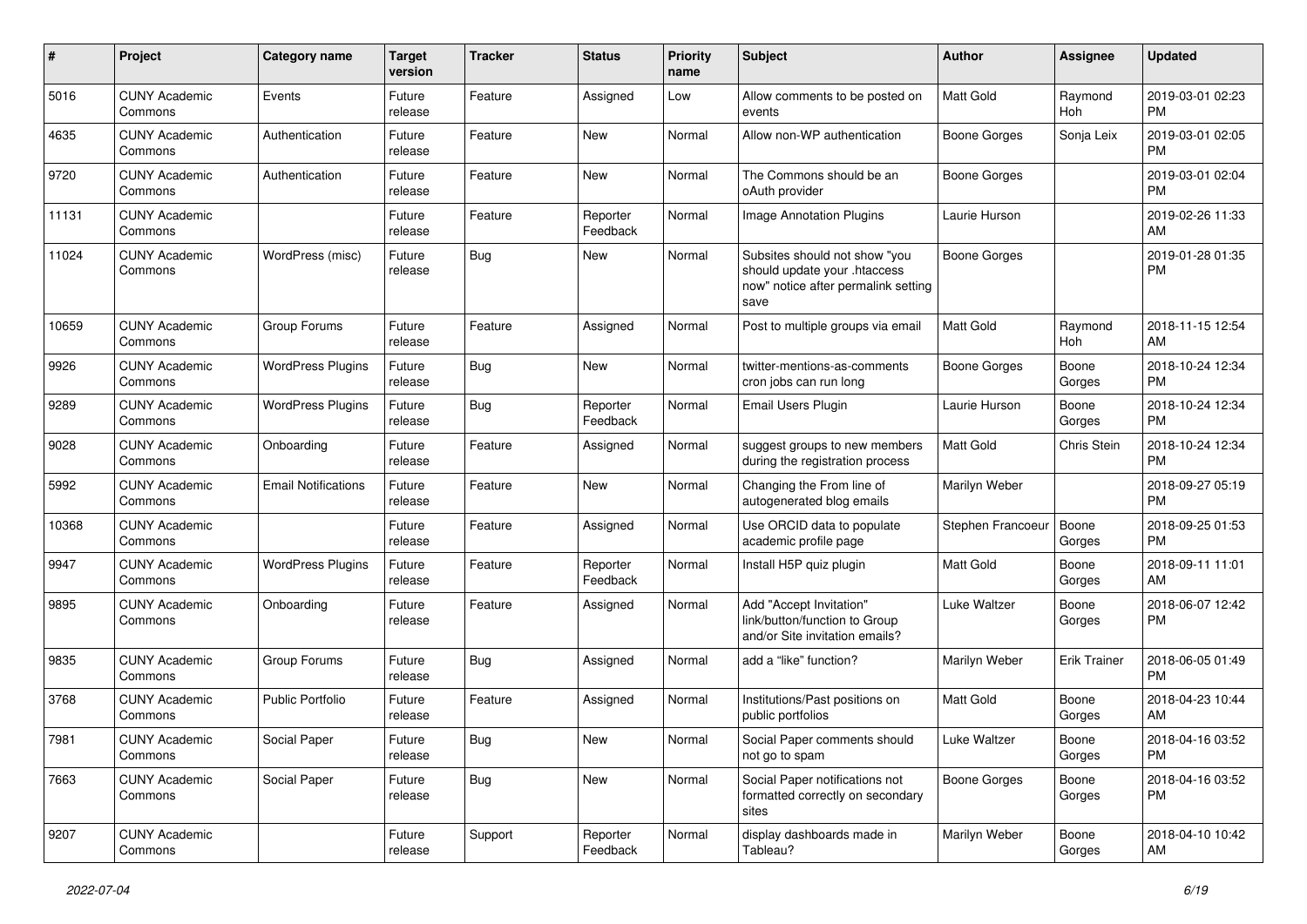| #     | Project                         | <b>Category name</b>       | <b>Target</b><br>version | <b>Tracker</b> | <b>Status</b>        | Priority<br>name | Subject                                                                                                      | Author              | <b>Assignee</b>     | <b>Updated</b>                |
|-------|---------------------------------|----------------------------|--------------------------|----------------|----------------------|------------------|--------------------------------------------------------------------------------------------------------------|---------------------|---------------------|-------------------------------|
| 5016  | <b>CUNY Academic</b><br>Commons | Events                     | Future<br>release        | Feature        | Assigned             | Low              | Allow comments to be posted on<br>events                                                                     | <b>Matt Gold</b>    | Raymond<br>Hoh      | 2019-03-01 02:23<br><b>PM</b> |
| 4635  | <b>CUNY Academic</b><br>Commons | Authentication             | Future<br>release        | Feature        | New                  | Normal           | Allow non-WP authentication                                                                                  | <b>Boone Gorges</b> | Sonja Leix          | 2019-03-01 02:05<br><b>PM</b> |
| 9720  | <b>CUNY Academic</b><br>Commons | Authentication             | Future<br>release        | Feature        | <b>New</b>           | Normal           | The Commons should be an<br>oAuth provider                                                                   | Boone Gorges        |                     | 2019-03-01 02:04<br><b>PM</b> |
| 11131 | <b>CUNY Academic</b><br>Commons |                            | Future<br>release        | Feature        | Reporter<br>Feedback | Normal           | <b>Image Annotation Plugins</b>                                                                              | Laurie Hurson       |                     | 2019-02-26 11:33<br>AM        |
| 11024 | <b>CUNY Academic</b><br>Commons | WordPress (misc)           | Future<br>release        | Bug            | New                  | Normal           | Subsites should not show "you<br>should update your .htaccess<br>now" notice after permalink setting<br>save | <b>Boone Gorges</b> |                     | 2019-01-28 01:35<br><b>PM</b> |
| 10659 | <b>CUNY Academic</b><br>Commons | Group Forums               | Future<br>release        | Feature        | Assigned             | Normal           | Post to multiple groups via email                                                                            | <b>Matt Gold</b>    | Raymond<br>Hoh      | 2018-11-15 12:54<br>AM        |
| 9926  | <b>CUNY Academic</b><br>Commons | <b>WordPress Plugins</b>   | Future<br>release        | <b>Bug</b>     | <b>New</b>           | Normal           | twitter-mentions-as-comments<br>cron jobs can run long                                                       | Boone Gorges        | Boone<br>Gorges     | 2018-10-24 12:34<br><b>PM</b> |
| 9289  | <b>CUNY Academic</b><br>Commons | <b>WordPress Plugins</b>   | Future<br>release        | Bug            | Reporter<br>Feedback | Normal           | <b>Email Users Plugin</b>                                                                                    | Laurie Hurson       | Boone<br>Gorges     | 2018-10-24 12:34<br><b>PM</b> |
| 9028  | <b>CUNY Academic</b><br>Commons | Onboarding                 | Future<br>release        | Feature        | Assigned             | Normal           | suggest groups to new members<br>during the registration process                                             | <b>Matt Gold</b>    | Chris Stein         | 2018-10-24 12:34<br><b>PM</b> |
| 5992  | <b>CUNY Academic</b><br>Commons | <b>Email Notifications</b> | Future<br>release        | Feature        | <b>New</b>           | Normal           | Changing the From line of<br>autogenerated blog emails                                                       | Marilyn Weber       |                     | 2018-09-27 05:19<br><b>PM</b> |
| 10368 | <b>CUNY Academic</b><br>Commons |                            | Future<br>release        | Feature        | Assigned             | Normal           | Use ORCID data to populate<br>academic profile page                                                          | Stephen Francoeur   | Boone<br>Gorges     | 2018-09-25 01:53<br><b>PM</b> |
| 9947  | <b>CUNY Academic</b><br>Commons | <b>WordPress Plugins</b>   | Future<br>release        | Feature        | Reporter<br>Feedback | Normal           | Install H5P quiz plugin                                                                                      | <b>Matt Gold</b>    | Boone<br>Gorges     | 2018-09-11 11:01<br>AM        |
| 9895  | <b>CUNY Academic</b><br>Commons | Onboarding                 | Future<br>release        | Feature        | Assigned             | Normal           | Add "Accept Invitation"<br>link/button/function to Group<br>and/or Site invitation emails?                   | Luke Waltzer        | Boone<br>Gorges     | 2018-06-07 12:42<br><b>PM</b> |
| 9835  | <b>CUNY Academic</b><br>Commons | Group Forums               | Future<br>release        | Bug            | Assigned             | Normal           | add a "like" function?                                                                                       | Marilyn Weber       | <b>Erik Trainer</b> | 2018-06-05 01:49<br><b>PM</b> |
| 3768  | <b>CUNY Academic</b><br>Commons | Public Portfolio           | Future<br>release        | Feature        | Assigned             | Normal           | Institutions/Past positions on<br>public portfolios                                                          | <b>Matt Gold</b>    | Boone<br>Gorges     | 2018-04-23 10:44<br>AM        |
| 7981  | <b>CUNY Academic</b><br>Commons | Social Paper               | Future<br>release        | Bug            | New                  | Normal           | Social Paper comments should<br>not go to spam                                                               | Luke Waltzer        | Boone<br>Gorges     | 2018-04-16 03:52<br><b>PM</b> |
| 7663  | <b>CUNY Academic</b><br>Commons | Social Paper               | Future<br>release        | Bug            | New                  | Normal           | Social Paper notifications not<br>formatted correctly on secondary<br>sites                                  | Boone Gorges        | Boone<br>Gorges     | 2018-04-16 03:52<br><b>PM</b> |
| 9207  | <b>CUNY Academic</b><br>Commons |                            | Future<br>release        | Support        | Reporter<br>Feedback | Normal           | display dashboards made in<br>Tableau?                                                                       | Marilyn Weber       | Boone<br>Gorges     | 2018-04-10 10:42<br>AM        |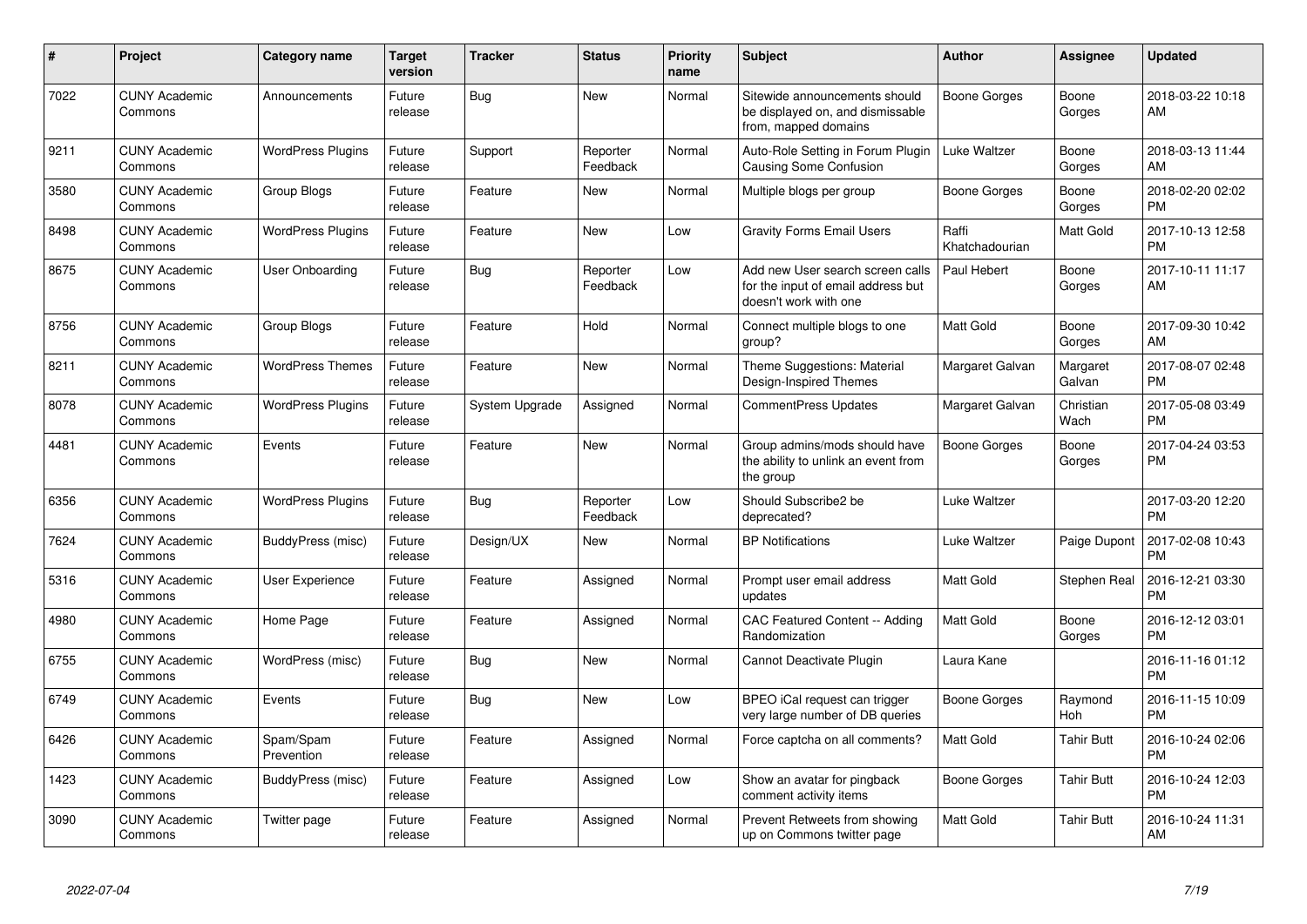| #    | Project                         | <b>Category name</b>     | <b>Target</b><br>version | <b>Tracker</b> | <b>Status</b>        | <b>Priority</b><br>name | <b>Subject</b>                                                                                  | <b>Author</b>           | Assignee           | <b>Updated</b>                |
|------|---------------------------------|--------------------------|--------------------------|----------------|----------------------|-------------------------|-------------------------------------------------------------------------------------------------|-------------------------|--------------------|-------------------------------|
| 7022 | <b>CUNY Academic</b><br>Commons | Announcements            | Future<br>release        | Bug            | <b>New</b>           | Normal                  | Sitewide announcements should<br>be displayed on, and dismissable<br>from, mapped domains       | Boone Gorges            | Boone<br>Gorges    | 2018-03-22 10:18<br>AM        |
| 9211 | <b>CUNY Academic</b><br>Commons | <b>WordPress Plugins</b> | Future<br>release        | Support        | Reporter<br>Feedback | Normal                  | Auto-Role Setting in Forum Plugin<br>Causing Some Confusion                                     | Luke Waltzer            | Boone<br>Gorges    | 2018-03-13 11:44<br>AM        |
| 3580 | <b>CUNY Academic</b><br>Commons | Group Blogs              | Future<br>release        | Feature        | New                  | Normal                  | Multiple blogs per group                                                                        | Boone Gorges            | Boone<br>Gorges    | 2018-02-20 02:02<br><b>PM</b> |
| 8498 | <b>CUNY Academic</b><br>Commons | <b>WordPress Plugins</b> | Future<br>release        | Feature        | New                  | Low                     | <b>Gravity Forms Email Users</b>                                                                | Raffi<br>Khatchadourian | Matt Gold          | 2017-10-13 12:58<br><b>PM</b> |
| 8675 | <b>CUNY Academic</b><br>Commons | User Onboarding          | Future<br>release        | Bug            | Reporter<br>Feedback | Low                     | Add new User search screen calls<br>for the input of email address but<br>doesn't work with one | Paul Hebert             | Boone<br>Gorges    | 2017-10-11 11:17<br>AM        |
| 8756 | <b>CUNY Academic</b><br>Commons | Group Blogs              | Future<br>release        | Feature        | Hold                 | Normal                  | Connect multiple blogs to one<br>group?                                                         | <b>Matt Gold</b>        | Boone<br>Gorges    | 2017-09-30 10:42<br>AM        |
| 8211 | <b>CUNY Academic</b><br>Commons | <b>WordPress Themes</b>  | Future<br>release        | Feature        | <b>New</b>           | Normal                  | Theme Suggestions: Material<br>Design-Inspired Themes                                           | Margaret Galvan         | Margaret<br>Galvan | 2017-08-07 02:48<br><b>PM</b> |
| 8078 | <b>CUNY Academic</b><br>Commons | <b>WordPress Plugins</b> | Future<br>release        | System Upgrade | Assigned             | Normal                  | <b>CommentPress Updates</b>                                                                     | Margaret Galvan         | Christian<br>Wach  | 2017-05-08 03:49<br><b>PM</b> |
| 4481 | <b>CUNY Academic</b><br>Commons | Events                   | Future<br>release        | Feature        | <b>New</b>           | Normal                  | Group admins/mods should have<br>the ability to unlink an event from<br>the group               | Boone Gorges            | Boone<br>Gorges    | 2017-04-24 03:53<br><b>PM</b> |
| 6356 | <b>CUNY Academic</b><br>Commons | <b>WordPress Plugins</b> | Future<br>release        | Bug            | Reporter<br>Feedback | Low                     | Should Subscribe2 be<br>deprecated?                                                             | Luke Waltzer            |                    | 2017-03-20 12:20<br><b>PM</b> |
| 7624 | <b>CUNY Academic</b><br>Commons | BuddyPress (misc)        | Future<br>release        | Design/UX      | <b>New</b>           | Normal                  | <b>BP Notifications</b>                                                                         | Luke Waltzer            | Paige Dupont       | 2017-02-08 10:43<br><b>PM</b> |
| 5316 | <b>CUNY Academic</b><br>Commons | <b>User Experience</b>   | Future<br>release        | Feature        | Assigned             | Normal                  | Prompt user email address<br>updates                                                            | Matt Gold               | Stephen Real       | 2016-12-21 03:30<br><b>PM</b> |
| 4980 | <b>CUNY Academic</b><br>Commons | Home Page                | Future<br>release        | Feature        | Assigned             | Normal                  | CAC Featured Content -- Adding<br>Randomization                                                 | <b>Matt Gold</b>        | Boone<br>Gorges    | 2016-12-12 03:01<br><b>PM</b> |
| 6755 | <b>CUNY Academic</b><br>Commons | WordPress (misc)         | Future<br>release        | Bug            | New                  | Normal                  | Cannot Deactivate Plugin                                                                        | Laura Kane              |                    | 2016-11-16 01:12<br><b>PM</b> |
| 6749 | <b>CUNY Academic</b><br>Commons | Events                   | Future<br>release        | Bug            | New                  | Low                     | BPEO iCal request can trigger<br>very large number of DB queries                                | Boone Gorges            | Raymond<br>Hoh     | 2016-11-15 10:09<br><b>PM</b> |
| 6426 | <b>CUNY Academic</b><br>Commons | Spam/Spam<br>Prevention  | Future<br>release        | Feature        | Assigned             | Normal                  | Force captcha on all comments?                                                                  | <b>Matt Gold</b>        | <b>Tahir Butt</b>  | 2016-10-24 02:06<br><b>PM</b> |
| 1423 | <b>CUNY Academic</b><br>Commons | BuddyPress (misc)        | Future<br>release        | Feature        | Assigned             | Low                     | Show an avatar for pingback<br>comment activity items                                           | Boone Gorges            | <b>Tahir Butt</b>  | 2016-10-24 12:03<br><b>PM</b> |
| 3090 | <b>CUNY Academic</b><br>Commons | Twitter page             | Future<br>release        | Feature        | Assigned             | Normal                  | Prevent Retweets from showing<br>up on Commons twitter page                                     | <b>Matt Gold</b>        | <b>Tahir Butt</b>  | 2016-10-24 11:31<br>AM        |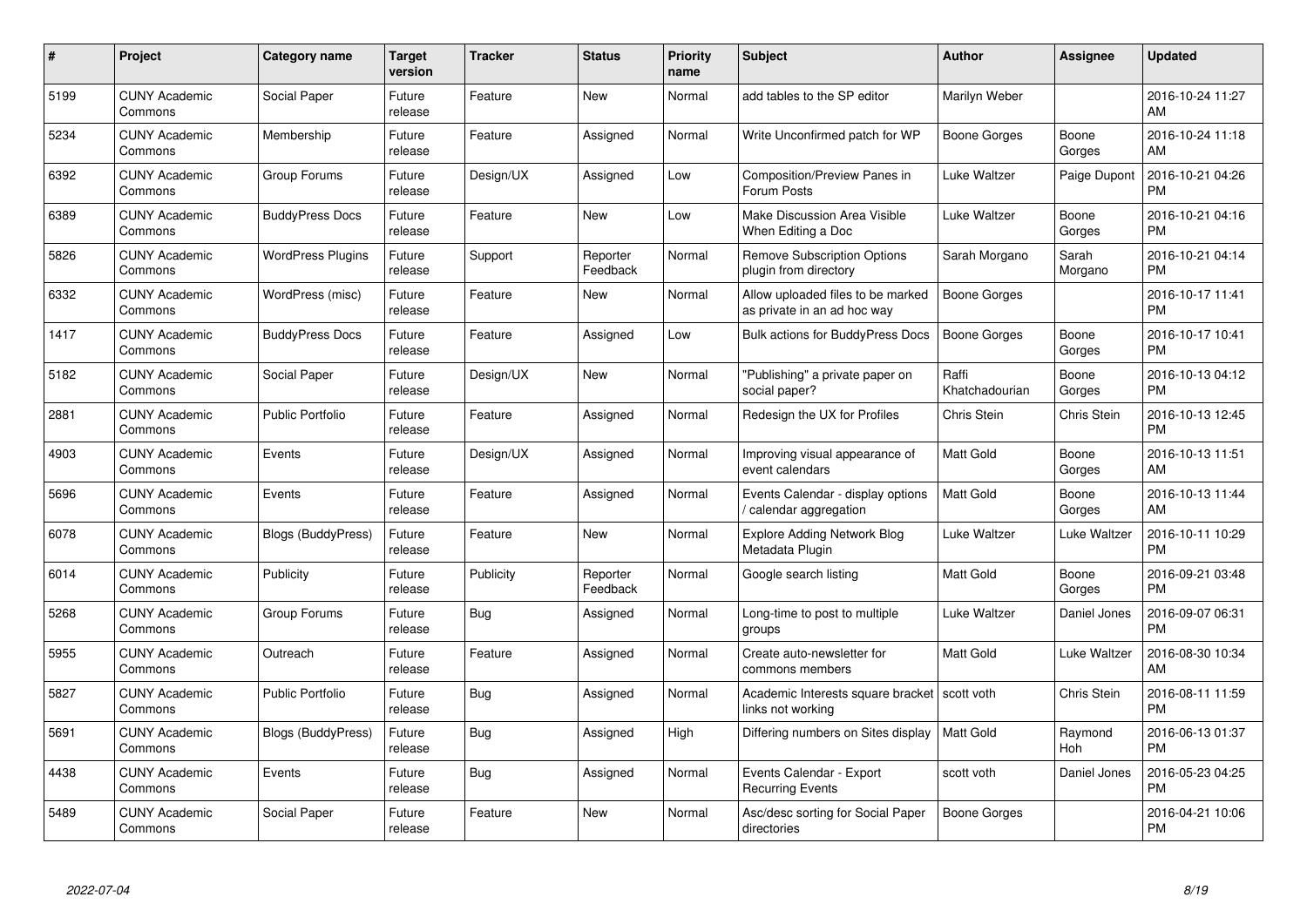| $\#$ | Project                         | <b>Category name</b>      | <b>Target</b><br>version | <b>Tracker</b> | <b>Status</b>        | Priority<br>name | <b>Subject</b>                                                      | <b>Author</b>           | <b>Assignee</b>  | <b>Updated</b>                |
|------|---------------------------------|---------------------------|--------------------------|----------------|----------------------|------------------|---------------------------------------------------------------------|-------------------------|------------------|-------------------------------|
| 5199 | <b>CUNY Academic</b><br>Commons | Social Paper              | Future<br>release        | Feature        | <b>New</b>           | Normal           | add tables to the SP editor                                         | Marilyn Weber           |                  | 2016-10-24 11:27<br>AM        |
| 5234 | <b>CUNY Academic</b><br>Commons | Membership                | Future<br>release        | Feature        | Assigned             | Normal           | Write Unconfirmed patch for WP                                      | Boone Gorges            | Boone<br>Gorges  | 2016-10-24 11:18<br>AM        |
| 6392 | <b>CUNY Academic</b><br>Commons | Group Forums              | Future<br>release        | Design/UX      | Assigned             | Low              | <b>Composition/Preview Panes in</b><br>Forum Posts                  | Luke Waltzer            | Paige Dupont     | 2016-10-21 04:26<br><b>PM</b> |
| 6389 | <b>CUNY Academic</b><br>Commons | <b>BuddyPress Docs</b>    | Future<br>release        | Feature        | <b>New</b>           | Low              | <b>Make Discussion Area Visible</b><br>When Editing a Doc           | Luke Waltzer            | Boone<br>Gorges  | 2016-10-21 04:16<br><b>PM</b> |
| 5826 | <b>CUNY Academic</b><br>Commons | <b>WordPress Plugins</b>  | Future<br>release        | Support        | Reporter<br>Feedback | Normal           | <b>Remove Subscription Options</b><br>plugin from directory         | Sarah Morgano           | Sarah<br>Morgano | 2016-10-21 04:14<br><b>PM</b> |
| 6332 | <b>CUNY Academic</b><br>Commons | WordPress (misc)          | Future<br>release        | Feature        | <b>New</b>           | Normal           | Allow uploaded files to be marked<br>as private in an ad hoc way    | <b>Boone Gorges</b>     |                  | 2016-10-17 11:41<br><b>PM</b> |
| 1417 | <b>CUNY Academic</b><br>Commons | <b>BuddyPress Docs</b>    | Future<br>release        | Feature        | Assigned             | Low              | Bulk actions for BuddyPress Docs                                    | <b>Boone Gorges</b>     | Boone<br>Gorges  | 2016-10-17 10:41<br><b>PM</b> |
| 5182 | <b>CUNY Academic</b><br>Commons | Social Paper              | Future<br>release        | Design/UX      | <b>New</b>           | Normal           | "Publishing" a private paper on<br>social paper?                    | Raffi<br>Khatchadourian | Boone<br>Gorges  | 2016-10-13 04:12<br><b>PM</b> |
| 2881 | <b>CUNY Academic</b><br>Commons | <b>Public Portfolio</b>   | Future<br>release        | Feature        | Assigned             | Normal           | Redesign the UX for Profiles                                        | Chris Stein             | Chris Stein      | 2016-10-13 12:45<br><b>PM</b> |
| 4903 | <b>CUNY Academic</b><br>Commons | Events                    | Future<br>release        | Design/UX      | Assigned             | Normal           | Improving visual appearance of<br>event calendars                   | <b>Matt Gold</b>        | Boone<br>Gorges  | 2016-10-13 11:51<br>AM        |
| 5696 | <b>CUNY Academic</b><br>Commons | Events                    | Future<br>release        | Feature        | Assigned             | Normal           | Events Calendar - display options<br>calendar aggregation           | <b>Matt Gold</b>        | Boone<br>Gorges  | 2016-10-13 11:44<br>AM        |
| 6078 | <b>CUNY Academic</b><br>Commons | <b>Blogs (BuddyPress)</b> | Future<br>release        | Feature        | New                  | Normal           | Explore Adding Network Blog<br>Metadata Plugin                      | Luke Waltzer            | Luke Waltzer     | 2016-10-11 10:29<br><b>PM</b> |
| 6014 | <b>CUNY Academic</b><br>Commons | Publicity                 | Future<br>release        | Publicity      | Reporter<br>Feedback | Normal           | Google search listing                                               | Matt Gold               | Boone<br>Gorges  | 2016-09-21 03:48<br><b>PM</b> |
| 5268 | <b>CUNY Academic</b><br>Commons | Group Forums              | Future<br>release        | Bug            | Assigned             | Normal           | Long-time to post to multiple<br>groups                             | Luke Waltzer            | Daniel Jones     | 2016-09-07 06:31<br><b>PM</b> |
| 5955 | <b>CUNY Academic</b><br>Commons | Outreach                  | Future<br>release        | Feature        | Assigned             | Normal           | Create auto-newsletter for<br>commons members                       | <b>Matt Gold</b>        | Luke Waltzer     | 2016-08-30 10:34<br>AM        |
| 5827 | <b>CUNY Academic</b><br>Commons | <b>Public Portfolio</b>   | Future<br>release        | Bug            | Assigned             | Normal           | Academic Interests square bracket   scott voth<br>links not working |                         | Chris Stein      | 2016-08-11 11:59<br><b>PM</b> |
| 5691 | <b>CUNY Academic</b><br>Commons | <b>Blogs (BuddyPress)</b> | Future<br>release        | <b>Bug</b>     | Assigned             | High             | Differing numbers on Sites display                                  | <b>Matt Gold</b>        | Raymond<br>Hoh   | 2016-06-13 01:37<br><b>PM</b> |
| 4438 | <b>CUNY Academic</b><br>Commons | Events                    | Future<br>release        | Bug            | Assigned             | Normal           | Events Calendar - Export<br><b>Recurring Events</b>                 | scott voth              | Daniel Jones     | 2016-05-23 04:25<br><b>PM</b> |
| 5489 | <b>CUNY Academic</b><br>Commons | Social Paper              | Future<br>release        | Feature        | New                  | Normal           | Asc/desc sorting for Social Paper<br>directories                    | Boone Gorges            |                  | 2016-04-21 10:06<br><b>PM</b> |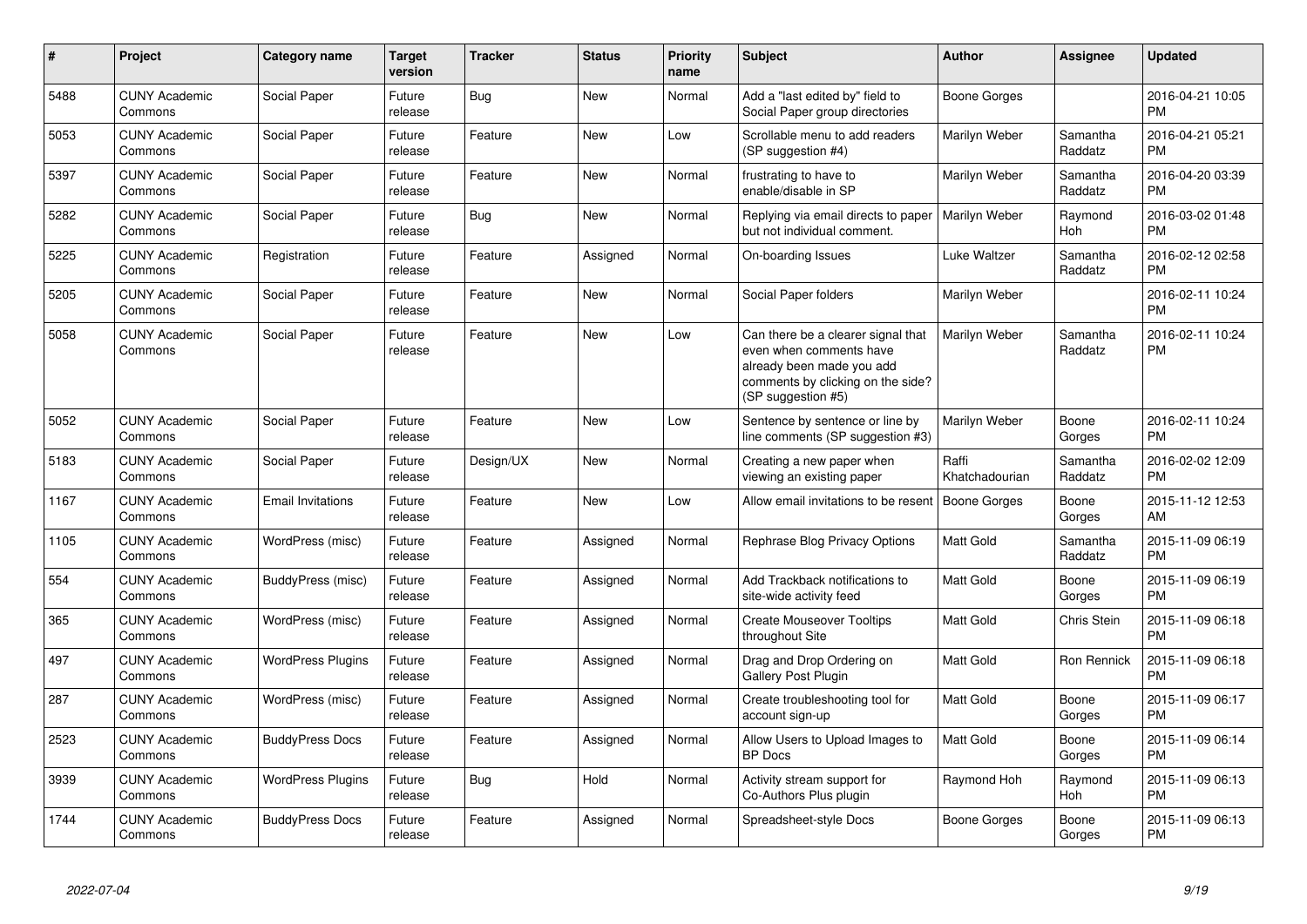| #    | Project                         | <b>Category name</b>     | <b>Target</b><br>version | <b>Tracker</b> | <b>Status</b> | <b>Priority</b><br>name | <b>Subject</b>                                                                                                                                        | Author                  | Assignee            | <b>Updated</b>                |
|------|---------------------------------|--------------------------|--------------------------|----------------|---------------|-------------------------|-------------------------------------------------------------------------------------------------------------------------------------------------------|-------------------------|---------------------|-------------------------------|
| 5488 | <b>CUNY Academic</b><br>Commons | Social Paper             | Future<br>release        | Bug            | <b>New</b>    | Normal                  | Add a "last edited by" field to<br>Social Paper group directories                                                                                     | Boone Gorges            |                     | 2016-04-21 10:05<br><b>PM</b> |
| 5053 | <b>CUNY Academic</b><br>Commons | Social Paper             | Future<br>release        | Feature        | <b>New</b>    | Low                     | Scrollable menu to add readers<br>(SP suggestion #4)                                                                                                  | Marilyn Weber           | Samantha<br>Raddatz | 2016-04-21 05:21<br><b>PM</b> |
| 5397 | <b>CUNY Academic</b><br>Commons | Social Paper             | Future<br>release        | Feature        | New           | Normal                  | frustrating to have to<br>enable/disable in SP                                                                                                        | Marilyn Weber           | Samantha<br>Raddatz | 2016-04-20 03:39<br><b>PM</b> |
| 5282 | <b>CUNY Academic</b><br>Commons | Social Paper             | Future<br>release        | Bug            | <b>New</b>    | Normal                  | Replying via email directs to paper<br>but not individual comment.                                                                                    | Marilyn Weber           | Raymond<br>Hoh      | 2016-03-02 01:48<br><b>PM</b> |
| 5225 | <b>CUNY Academic</b><br>Commons | Registration             | Future<br>release        | Feature        | Assigned      | Normal                  | On-boarding Issues                                                                                                                                    | Luke Waltzer            | Samantha<br>Raddatz | 2016-02-12 02:58<br><b>PM</b> |
| 5205 | <b>CUNY Academic</b><br>Commons | Social Paper             | Future<br>release        | Feature        | <b>New</b>    | Normal                  | Social Paper folders                                                                                                                                  | Marilyn Weber           |                     | 2016-02-11 10:24<br><b>PM</b> |
| 5058 | <b>CUNY Academic</b><br>Commons | Social Paper             | Future<br>release        | Feature        | <b>New</b>    | Low                     | Can there be a clearer signal that<br>even when comments have<br>already been made you add<br>comments by clicking on the side?<br>(SP suggestion #5) | Marilyn Weber           | Samantha<br>Raddatz | 2016-02-11 10:24<br><b>PM</b> |
| 5052 | <b>CUNY Academic</b><br>Commons | Social Paper             | Future<br>release        | Feature        | New           | Low                     | Sentence by sentence or line by<br>line comments (SP suggestion #3)                                                                                   | Marilyn Weber           | Boone<br>Gorges     | 2016-02-11 10:24<br><b>PM</b> |
| 5183 | <b>CUNY Academic</b><br>Commons | Social Paper             | Future<br>release        | Design/UX      | <b>New</b>    | Normal                  | Creating a new paper when<br>viewing an existing paper                                                                                                | Raffi<br>Khatchadourian | Samantha<br>Raddatz | 2016-02-02 12:09<br><b>PM</b> |
| 1167 | <b>CUNY Academic</b><br>Commons | <b>Email Invitations</b> | Future<br>release        | Feature        | <b>New</b>    | Low                     | Allow email invitations to be resent                                                                                                                  | Boone Gorges            | Boone<br>Gorges     | 2015-11-12 12:53<br>AM        |
| 1105 | <b>CUNY Academic</b><br>Commons | WordPress (misc)         | Future<br>release        | Feature        | Assigned      | Normal                  | Rephrase Blog Privacy Options                                                                                                                         | Matt Gold               | Samantha<br>Raddatz | 2015-11-09 06:19<br><b>PM</b> |
| 554  | <b>CUNY Academic</b><br>Commons | BuddyPress (misc)        | Future<br>release        | Feature        | Assigned      | Normal                  | Add Trackback notifications to<br>site-wide activity feed                                                                                             | Matt Gold               | Boone<br>Gorges     | 2015-11-09 06:19<br>PM        |
| 365  | <b>CUNY Academic</b><br>Commons | WordPress (misc)         | Future<br>release        | Feature        | Assigned      | Normal                  | <b>Create Mouseover Tooltips</b><br>throughout Site                                                                                                   | Matt Gold               | Chris Stein         | 2015-11-09 06:18<br><b>PM</b> |
| 497  | <b>CUNY Academic</b><br>Commons | <b>WordPress Plugins</b> | Future<br>release        | Feature        | Assigned      | Normal                  | Drag and Drop Ordering on<br><b>Gallery Post Plugin</b>                                                                                               | <b>Matt Gold</b>        | Ron Rennick         | 2015-11-09 06:18<br><b>PM</b> |
| 287  | <b>CUNY Academic</b><br>Commons | WordPress (misc)         | Future<br>release        | Feature        | Assigned      | Normal                  | Create troubleshooting tool for<br>account sign-up                                                                                                    | <b>Matt Gold</b>        | Boone<br>Gorges     | 2015-11-09 06:17<br><b>PM</b> |
| 2523 | <b>CUNY Academic</b><br>Commons | <b>BuddyPress Docs</b>   | Future<br>release        | Feature        | Assigned      | Normal                  | Allow Users to Upload Images to<br><b>BP</b> Docs                                                                                                     | <b>Matt Gold</b>        | Boone<br>Gorges     | 2015-11-09 06:14<br><b>PM</b> |
| 3939 | <b>CUNY Academic</b><br>Commons | <b>WordPress Plugins</b> | Future<br>release        | <b>Bug</b>     | Hold          | Normal                  | Activity stream support for<br>Co-Authors Plus plugin                                                                                                 | Raymond Hoh             | Raymond<br>Hoh      | 2015-11-09 06:13<br><b>PM</b> |
| 1744 | <b>CUNY Academic</b><br>Commons | <b>BuddyPress Docs</b>   | Future<br>release        | Feature        | Assigned      | Normal                  | Spreadsheet-style Docs                                                                                                                                | Boone Gorges            | Boone<br>Gorges     | 2015-11-09 06:13<br>PM        |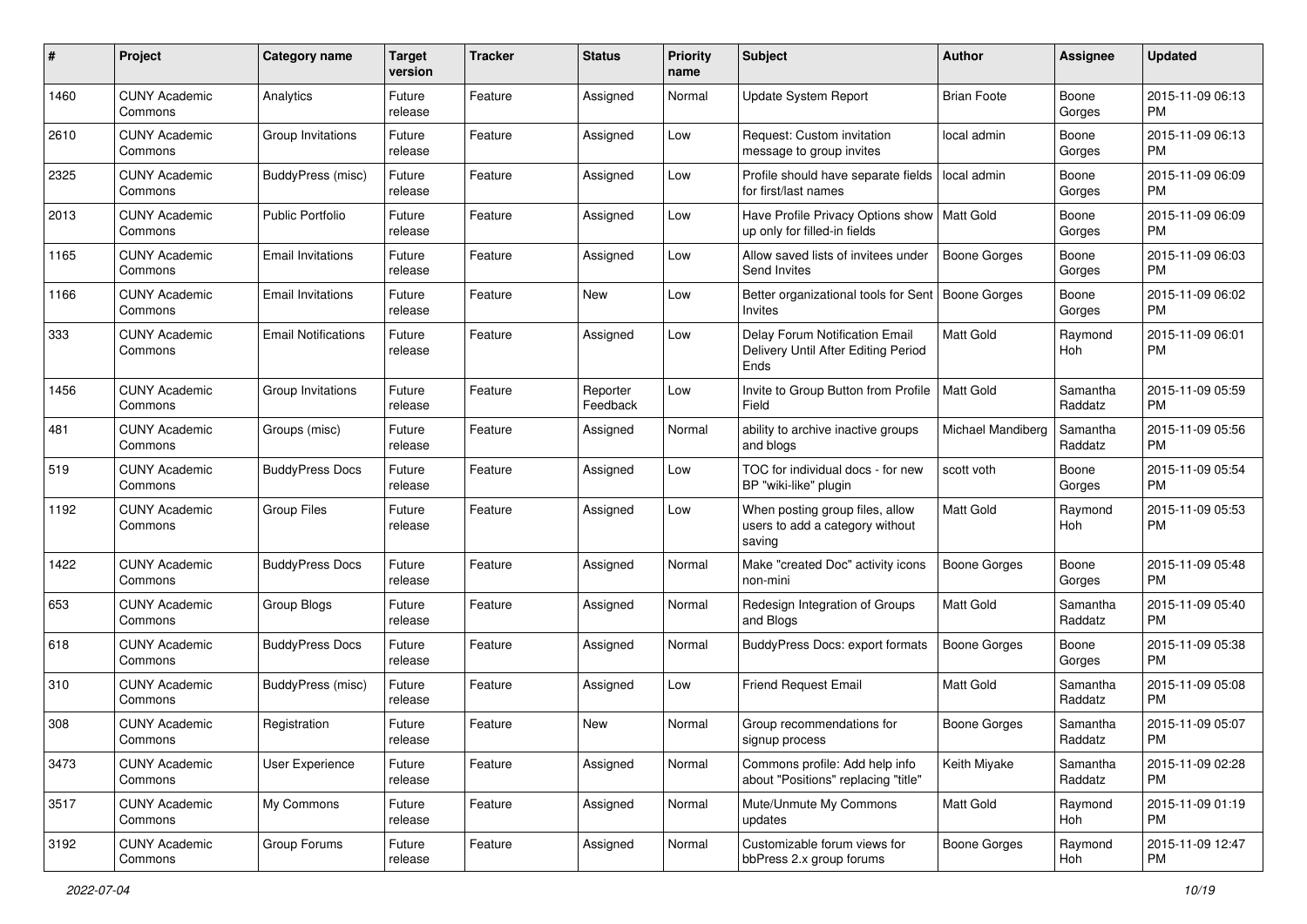| #    | Project                         | <b>Category name</b>       | <b>Target</b><br>version | <b>Tracker</b> | <b>Status</b>        | <b>Priority</b><br>name | <b>Subject</b>                                                                | <b>Author</b>            | <b>Assignee</b>     | <b>Updated</b>                |
|------|---------------------------------|----------------------------|--------------------------|----------------|----------------------|-------------------------|-------------------------------------------------------------------------------|--------------------------|---------------------|-------------------------------|
| 1460 | <b>CUNY Academic</b><br>Commons | Analytics                  | Future<br>release        | Feature        | Assigned             | Normal                  | Update System Report                                                          | <b>Brian Foote</b>       | Boone<br>Gorges     | 2015-11-09 06:13<br>PM.       |
| 2610 | <b>CUNY Academic</b><br>Commons | Group Invitations          | Future<br>release        | Feature        | Assigned             | Low                     | Request: Custom invitation<br>message to group invites                        | local admin              | Boone<br>Gorges     | 2015-11-09 06:13<br><b>PM</b> |
| 2325 | <b>CUNY Academic</b><br>Commons | BuddyPress (misc)          | Future<br>release        | Feature        | Assigned             | Low                     | Profile should have separate fields<br>for first/last names                   | local admin              | Boone<br>Gorges     | 2015-11-09 06:09<br><b>PM</b> |
| 2013 | <b>CUNY Academic</b><br>Commons | <b>Public Portfolio</b>    | Future<br>release        | Feature        | Assigned             | Low                     | Have Profile Privacy Options show<br>up only for filled-in fields             | Matt Gold                | Boone<br>Gorges     | 2015-11-09 06:09<br>PM.       |
| 1165 | <b>CUNY Academic</b><br>Commons | <b>Email Invitations</b>   | Future<br>release        | Feature        | Assigned             | Low                     | Allow saved lists of invitees under<br>Send Invites                           | Boone Gorges             | Boone<br>Gorges     | 2015-11-09 06:03<br><b>PM</b> |
| 1166 | <b>CUNY Academic</b><br>Commons | <b>Email Invitations</b>   | Future<br>release        | Feature        | New                  | Low                     | Better organizational tools for Sent<br><b>Invites</b>                        | Boone Gorges             | Boone<br>Gorges     | 2015-11-09 06:02<br>PM.       |
| 333  | <b>CUNY Academic</b><br>Commons | <b>Email Notifications</b> | Future<br>release        | Feature        | Assigned             | Low                     | Delay Forum Notification Email<br>Delivery Until After Editing Period<br>Ends | <b>Matt Gold</b>         | Raymond<br>Hoh      | 2015-11-09 06:01<br>PM.       |
| 1456 | <b>CUNY Academic</b><br>Commons | Group Invitations          | Future<br>release        | Feature        | Reporter<br>Feedback | Low                     | Invite to Group Button from Profile<br>Field                                  | <b>Matt Gold</b>         | Samantha<br>Raddatz | 2015-11-09 05:59<br><b>PM</b> |
| 481  | <b>CUNY Academic</b><br>Commons | Groups (misc)              | Future<br>release        | Feature        | Assigned             | Normal                  | ability to archive inactive groups<br>and blogs                               | <b>Michael Mandiberg</b> | Samantha<br>Raddatz | 2015-11-09 05:56<br>PM.       |
| 519  | <b>CUNY Academic</b><br>Commons | <b>BuddyPress Docs</b>     | Future<br>release        | Feature        | Assigned             | Low                     | TOC for individual docs - for new<br>BP "wiki-like" plugin                    | scott voth               | Boone<br>Gorges     | 2015-11-09 05:54<br>PM.       |
| 1192 | <b>CUNY Academic</b><br>Commons | <b>Group Files</b>         | Future<br>release        | Feature        | Assigned             | Low                     | When posting group files, allow<br>users to add a category without<br>saving  | Matt Gold                | Raymond<br>Hoh      | 2015-11-09 05:53<br><b>PM</b> |
| 1422 | <b>CUNY Academic</b><br>Commons | <b>BuddyPress Docs</b>     | Future<br>release        | Feature        | Assigned             | Normal                  | Make "created Doc" activity icons<br>non-mini                                 | Boone Gorges             | Boone<br>Gorges     | 2015-11-09 05:48<br>PM.       |
| 653  | <b>CUNY Academic</b><br>Commons | Group Blogs                | Future<br>release        | Feature        | Assigned             | Normal                  | Redesign Integration of Groups<br>and Blogs                                   | <b>Matt Gold</b>         | Samantha<br>Raddatz | 2015-11-09 05:40<br>PM.       |
| 618  | <b>CUNY Academic</b><br>Commons | <b>BuddyPress Docs</b>     | Future<br>release        | Feature        | Assigned             | Normal                  | <b>BuddyPress Docs: export formats</b>                                        | Boone Gorges             | Boone<br>Gorges     | 2015-11-09 05:38<br><b>PM</b> |
| 310  | <b>CUNY Academic</b><br>Commons | <b>BuddyPress (misc)</b>   | Future<br>release        | Feature        | Assigned             | Low                     | Friend Request Email                                                          | Matt Gold                | Samantha<br>Raddatz | 2015-11-09 05:08<br><b>PM</b> |
| 308  | <b>CUNY Academic</b><br>Commons | Registration               | Future<br>release        | Feature        | New                  | Normal                  | Group recommendations for<br>signup process                                   | <b>Boone Gorges</b>      | Samantha<br>Raddatz | 2015-11-09 05:07<br>PM        |
| 3473 | <b>CUNY Academic</b><br>Commons | User Experience            | Future<br>release        | Feature        | Assigned             | Normal                  | Commons profile: Add help info<br>about "Positions" replacing "title"         | Keith Miyake             | Samantha<br>Raddatz | 2015-11-09 02:28<br>PM        |
| 3517 | <b>CUNY Academic</b><br>Commons | My Commons                 | Future<br>release        | Feature        | Assigned             | Normal                  | Mute/Unmute My Commons<br>updates                                             | Matt Gold                | Raymond<br>Hoh      | 2015-11-09 01:19<br><b>PM</b> |
| 3192 | <b>CUNY Academic</b><br>Commons | Group Forums               | Future<br>release        | Feature        | Assigned             | Normal                  | Customizable forum views for<br>bbPress 2.x group forums                      | Boone Gorges             | Raymond<br>Hoh      | 2015-11-09 12:47<br><b>PM</b> |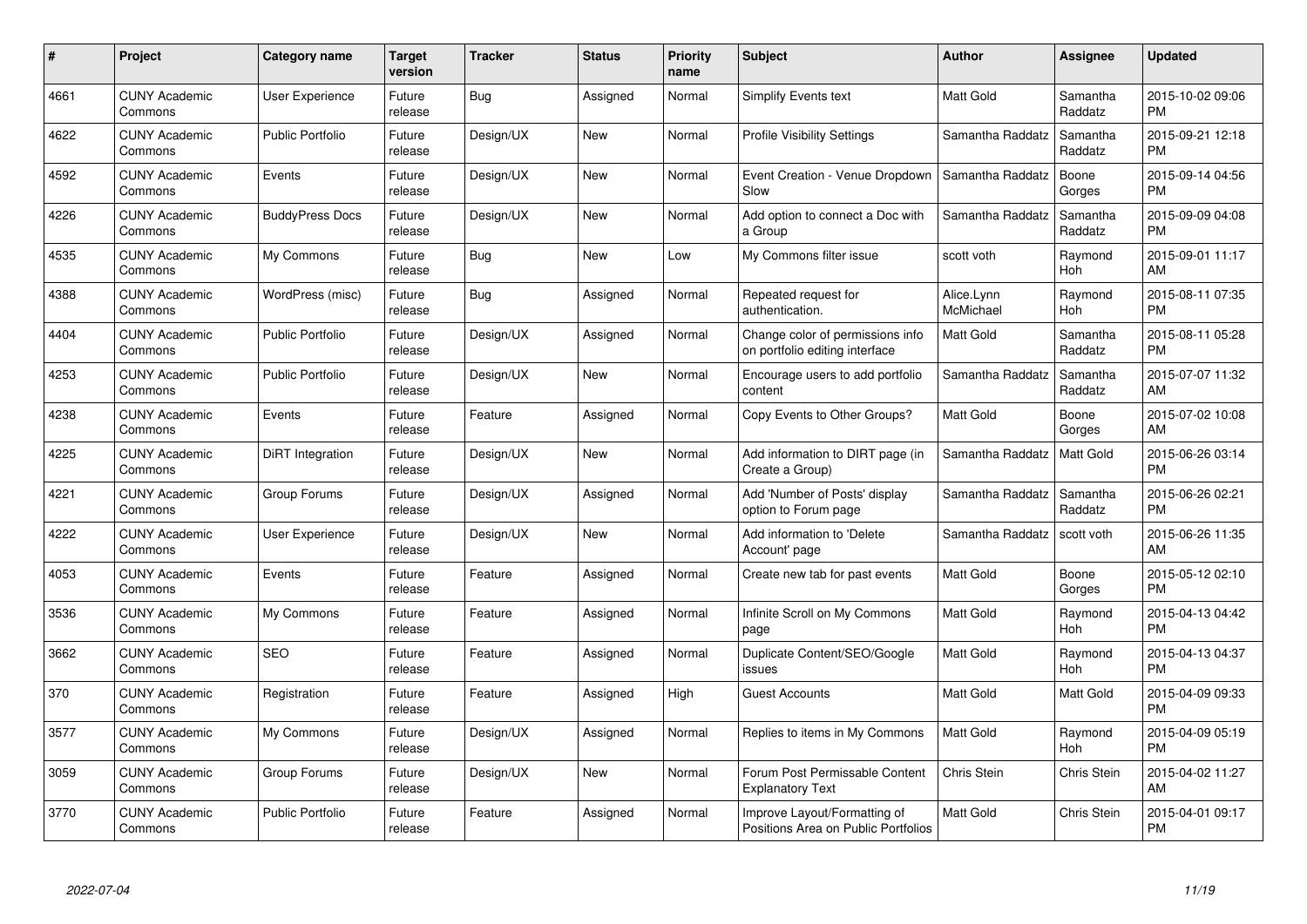| #    | Project                         | <b>Category name</b>    | Target<br>version | <b>Tracker</b> | <b>Status</b> | Priority<br>name | <b>Subject</b>                                                      | <b>Author</b>           | <b>Assignee</b>     | <b>Updated</b>                |
|------|---------------------------------|-------------------------|-------------------|----------------|---------------|------------------|---------------------------------------------------------------------|-------------------------|---------------------|-------------------------------|
| 4661 | <b>CUNY Academic</b><br>Commons | <b>User Experience</b>  | Future<br>release | Bug            | Assigned      | Normal           | Simplify Events text                                                | <b>Matt Gold</b>        | Samantha<br>Raddatz | 2015-10-02 09:06<br><b>PM</b> |
| 4622 | <b>CUNY Academic</b><br>Commons | <b>Public Portfolio</b> | Future<br>release | Design/UX      | <b>New</b>    | Normal           | <b>Profile Visibility Settings</b>                                  | Samantha Raddatz        | Samantha<br>Raddatz | 2015-09-21 12:18<br><b>PM</b> |
| 4592 | <b>CUNY Academic</b><br>Commons | Events                  | Future<br>release | Design/UX      | <b>New</b>    | Normal           | Event Creation - Venue Dropdown<br>Slow                             | Samantha Raddatz        | Boone<br>Gorges     | 2015-09-14 04:56<br><b>PM</b> |
| 4226 | <b>CUNY Academic</b><br>Commons | <b>BuddyPress Docs</b>  | Future<br>release | Design/UX      | <b>New</b>    | Normal           | Add option to connect a Doc with<br>a Group                         | Samantha Raddatz        | Samantha<br>Raddatz | 2015-09-09 04:08<br><b>PM</b> |
| 4535 | <b>CUNY Academic</b><br>Commons | My Commons              | Future<br>release | <b>Bug</b>     | <b>New</b>    | Low              | My Commons filter issue                                             | scott voth              | Raymond<br>Hoh      | 2015-09-01 11:17<br>AM        |
| 4388 | <b>CUNY Academic</b><br>Commons | WordPress (misc)        | Future<br>release | <b>Bug</b>     | Assigned      | Normal           | Repeated request for<br>authentication.                             | Alice.Lynn<br>McMichael | Raymond<br>Hoh      | 2015-08-11 07:35<br><b>PM</b> |
| 4404 | <b>CUNY Academic</b><br>Commons | <b>Public Portfolio</b> | Future<br>release | Design/UX      | Assigned      | Normal           | Change color of permissions info<br>on portfolio editing interface  | Matt Gold               | Samantha<br>Raddatz | 2015-08-11 05:28<br><b>PM</b> |
| 4253 | <b>CUNY Academic</b><br>Commons | <b>Public Portfolio</b> | Future<br>release | Design/UX      | <b>New</b>    | Normal           | Encourage users to add portfolio<br>content                         | Samantha Raddatz        | Samantha<br>Raddatz | 2015-07-07 11:32<br>AM        |
| 4238 | <b>CUNY Academic</b><br>Commons | Events                  | Future<br>release | Feature        | Assigned      | Normal           | Copy Events to Other Groups?                                        | Matt Gold               | Boone<br>Gorges     | 2015-07-02 10:08<br>AM        |
| 4225 | <b>CUNY Academic</b><br>Commons | DiRT Integration        | Future<br>release | Design/UX      | New           | Normal           | Add information to DIRT page (in<br>Create a Group)                 | Samantha Raddatz        | <b>Matt Gold</b>    | 2015-06-26 03:14<br><b>PM</b> |
| 4221 | <b>CUNY Academic</b><br>Commons | Group Forums            | Future<br>release | Design/UX      | Assigned      | Normal           | Add 'Number of Posts' display<br>option to Forum page               | Samantha Raddatz        | Samantha<br>Raddatz | 2015-06-26 02:21<br><b>PM</b> |
| 4222 | <b>CUNY Academic</b><br>Commons | User Experience         | Future<br>release | Design/UX      | New           | Normal           | Add information to 'Delete<br>Account' page                         | Samantha Raddatz        | scott voth          | 2015-06-26 11:35<br>AM        |
| 4053 | <b>CUNY Academic</b><br>Commons | Events                  | Future<br>release | Feature        | Assigned      | Normal           | Create new tab for past events                                      | Matt Gold               | Boone<br>Gorges     | 2015-05-12 02:10<br><b>PM</b> |
| 3536 | <b>CUNY Academic</b><br>Commons | My Commons              | Future<br>release | Feature        | Assigned      | Normal           | Infinite Scroll on My Commons<br>page                               | Matt Gold               | Raymond<br>Hoh      | 2015-04-13 04:42<br><b>PM</b> |
| 3662 | <b>CUNY Academic</b><br>Commons | <b>SEO</b>              | Future<br>release | Feature        | Assigned      | Normal           | Duplicate Content/SEO/Google<br>issues                              | <b>Matt Gold</b>        | Raymond<br>Hoh      | 2015-04-13 04:37<br><b>PM</b> |
| 370  | <b>CUNY Academic</b><br>Commons | Registration            | Future<br>release | Feature        | Assigned      | High             | <b>Guest Accounts</b>                                               | Matt Gold               | Matt Gold           | 2015-04-09 09:33<br><b>PM</b> |
| 3577 | <b>CUNY Academic</b><br>Commons | My Commons              | Future<br>release | Design/UX      | Assigned      | Normal           | Replies to items in My Commons                                      | <b>Matt Gold</b>        | Raymond<br>Hoh      | 2015-04-09 05:19<br><b>PM</b> |
| 3059 | <b>CUNY Academic</b><br>Commons | Group Forums            | Future<br>release | Design/UX      | New           | Normal           | Forum Post Permissable Content<br><b>Explanatory Text</b>           | Chris Stein             | Chris Stein         | 2015-04-02 11:27<br>AM        |
| 3770 | CUNY Academic<br>Commons        | <b>Public Portfolio</b> | Future<br>release | Feature        | Assigned      | Normal           | Improve Layout/Formatting of<br>Positions Area on Public Portfolios | Matt Gold               | <b>Chris Stein</b>  | 2015-04-01 09:17<br><b>PM</b> |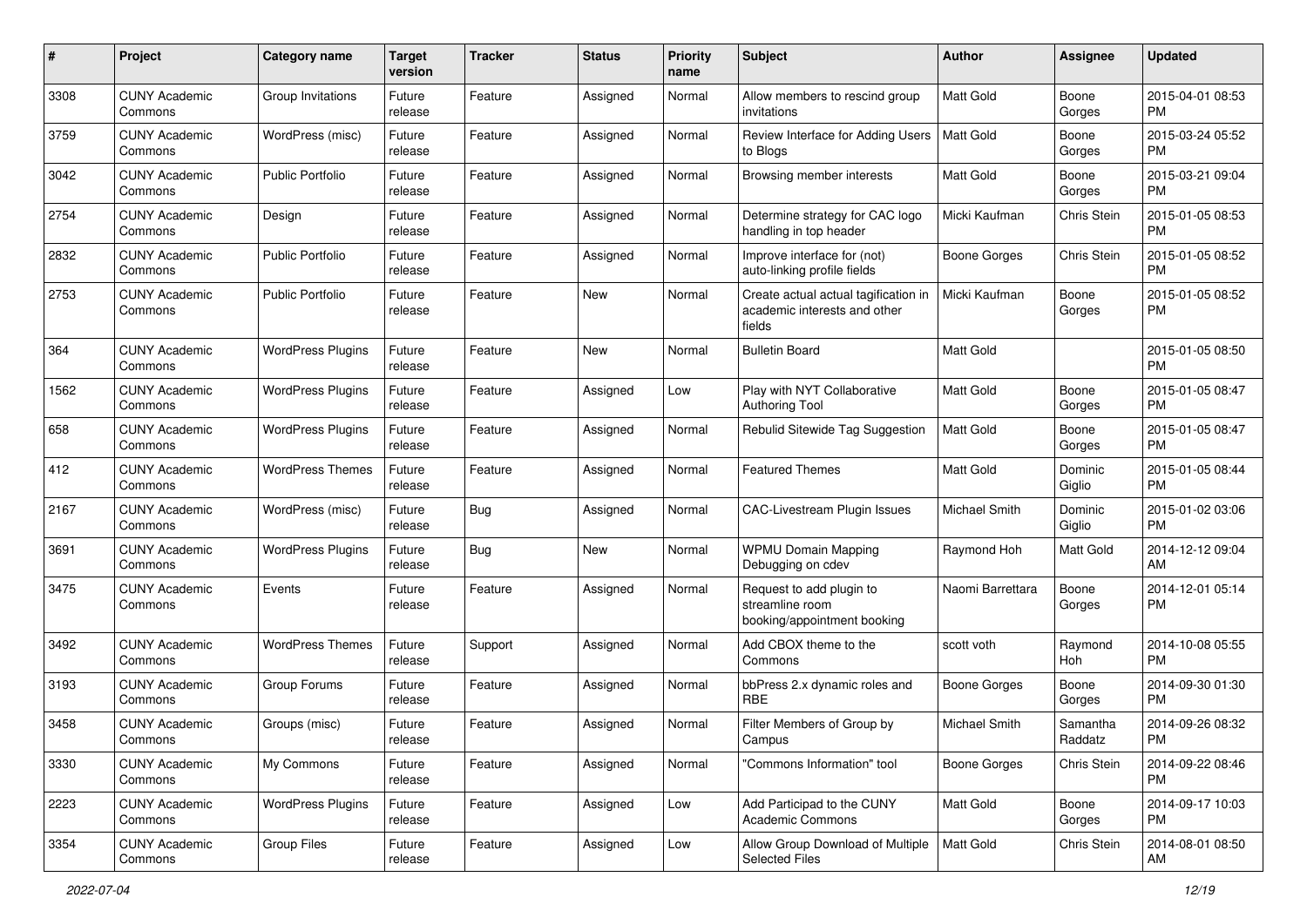| #    | Project                         | <b>Category name</b>     | <b>Target</b><br>version | <b>Tracker</b> | <b>Status</b> | <b>Priority</b><br>name | <b>Subject</b>                                                                 | <b>Author</b>    | <b>Assignee</b>     | <b>Updated</b>                |
|------|---------------------------------|--------------------------|--------------------------|----------------|---------------|-------------------------|--------------------------------------------------------------------------------|------------------|---------------------|-------------------------------|
| 3308 | <b>CUNY Academic</b><br>Commons | Group Invitations        | Future<br>release        | Feature        | Assigned      | Normal                  | Allow members to rescind group<br>invitations                                  | <b>Matt Gold</b> | Boone<br>Gorges     | 2015-04-01 08:53<br>PM.       |
| 3759 | <b>CUNY Academic</b><br>Commons | WordPress (misc)         | Future<br>release        | Feature        | Assigned      | Normal                  | Review Interface for Adding Users<br>to Blogs                                  | <b>Matt Gold</b> | Boone<br>Gorges     | 2015-03-24 05:52<br><b>PM</b> |
| 3042 | <b>CUNY Academic</b><br>Commons | Public Portfolio         | Future<br>release        | Feature        | Assigned      | Normal                  | Browsing member interests                                                      | Matt Gold        | Boone<br>Gorges     | 2015-03-21 09:04<br><b>PM</b> |
| 2754 | <b>CUNY Academic</b><br>Commons | Design                   | Future<br>release        | Feature        | Assigned      | Normal                  | Determine strategy for CAC logo<br>handling in top header                      | Micki Kaufman    | Chris Stein         | 2015-01-05 08:53<br><b>PM</b> |
| 2832 | <b>CUNY Academic</b><br>Commons | <b>Public Portfolio</b>  | Future<br>release        | Feature        | Assigned      | Normal                  | Improve interface for (not)<br>auto-linking profile fields                     | Boone Gorges     | Chris Stein         | 2015-01-05 08:52<br><b>PM</b> |
| 2753 | <b>CUNY Academic</b><br>Commons | <b>Public Portfolio</b>  | Future<br>release        | Feature        | New           | Normal                  | Create actual actual tagification in<br>academic interests and other<br>fields | Micki Kaufman    | Boone<br>Gorges     | 2015-01-05 08:52<br>PM.       |
| 364  | <b>CUNY Academic</b><br>Commons | <b>WordPress Plugins</b> | Future<br>release        | Feature        | New           | Normal                  | <b>Bulletin Board</b>                                                          | <b>Matt Gold</b> |                     | 2015-01-05 08:50<br><b>PM</b> |
| 1562 | <b>CUNY Academic</b><br>Commons | <b>WordPress Plugins</b> | Future<br>release        | Feature        | Assigned      | Low                     | Play with NYT Collaborative<br><b>Authoring Tool</b>                           | <b>Matt Gold</b> | Boone<br>Gorges     | 2015-01-05 08:47<br><b>PM</b> |
| 658  | <b>CUNY Academic</b><br>Commons | <b>WordPress Plugins</b> | Future<br>release        | Feature        | Assigned      | Normal                  | Rebulid Sitewide Tag Suggestion                                                | <b>Matt Gold</b> | Boone<br>Gorges     | 2015-01-05 08:47<br>PM.       |
| 412  | <b>CUNY Academic</b><br>Commons | <b>WordPress Themes</b>  | Future<br>release        | Feature        | Assigned      | Normal                  | <b>Featured Themes</b>                                                         | <b>Matt Gold</b> | Dominic<br>Giglio   | 2015-01-05 08:44<br><b>PM</b> |
| 2167 | <b>CUNY Academic</b><br>Commons | WordPress (misc)         | Future<br>release        | Bug            | Assigned      | Normal                  | <b>CAC-Livestream Plugin Issues</b>                                            | Michael Smith    | Dominic<br>Giglio   | 2015-01-02 03:06<br><b>PM</b> |
| 3691 | <b>CUNY Academic</b><br>Commons | <b>WordPress Plugins</b> | Future<br>release        | Bug            | New           | Normal                  | <b>WPMU Domain Mapping</b><br>Debugging on cdev                                | Raymond Hoh      | Matt Gold           | 2014-12-12 09:04<br>AM        |
| 3475 | <b>CUNY Academic</b><br>Commons | Events                   | Future<br>release        | Feature        | Assigned      | Normal                  | Request to add plugin to<br>streamline room<br>booking/appointment booking     | Naomi Barrettara | Boone<br>Gorges     | 2014-12-01 05:14<br><b>PM</b> |
| 3492 | <b>CUNY Academic</b><br>Commons | <b>WordPress Themes</b>  | Future<br>release        | Support        | Assigned      | Normal                  | Add CBOX theme to the<br>Commons                                               | scott voth       | Raymond<br>Hoh      | 2014-10-08 05:55<br><b>PM</b> |
| 3193 | <b>CUNY Academic</b><br>Commons | Group Forums             | Future<br>release        | Feature        | Assigned      | Normal                  | bbPress 2.x dynamic roles and<br><b>RBE</b>                                    | Boone Gorges     | Boone<br>Gorges     | 2014-09-30 01:30<br><b>PM</b> |
| 3458 | <b>CUNY Academic</b><br>Commons | Groups (misc)            | Future<br>release        | Feature        | Assigned      | Normal                  | Filter Members of Group by<br>Campus                                           | Michael Smith    | Samantha<br>Raddatz | 2014-09-26 08:32<br>PM        |
| 3330 | <b>CUNY Academic</b><br>Commons | My Commons               | Future<br>release        | Feature        | Assigned      | Normal                  | "Commons Information" tool                                                     | Boone Gorges     | Chris Stein         | 2014-09-22 08:46<br><b>PM</b> |
| 2223 | <b>CUNY Academic</b><br>Commons | <b>WordPress Plugins</b> | Future<br>release        | Feature        | Assigned      | Low                     | Add Participad to the CUNY<br><b>Academic Commons</b>                          | Matt Gold        | Boone<br>Gorges     | 2014-09-17 10:03<br><b>PM</b> |
| 3354 | <b>CUNY Academic</b><br>Commons | Group Files              | Future<br>release        | Feature        | Assigned      | Low                     | Allow Group Download of Multiple<br>Selected Files                             | Matt Gold        | Chris Stein         | 2014-08-01 08:50<br>AM        |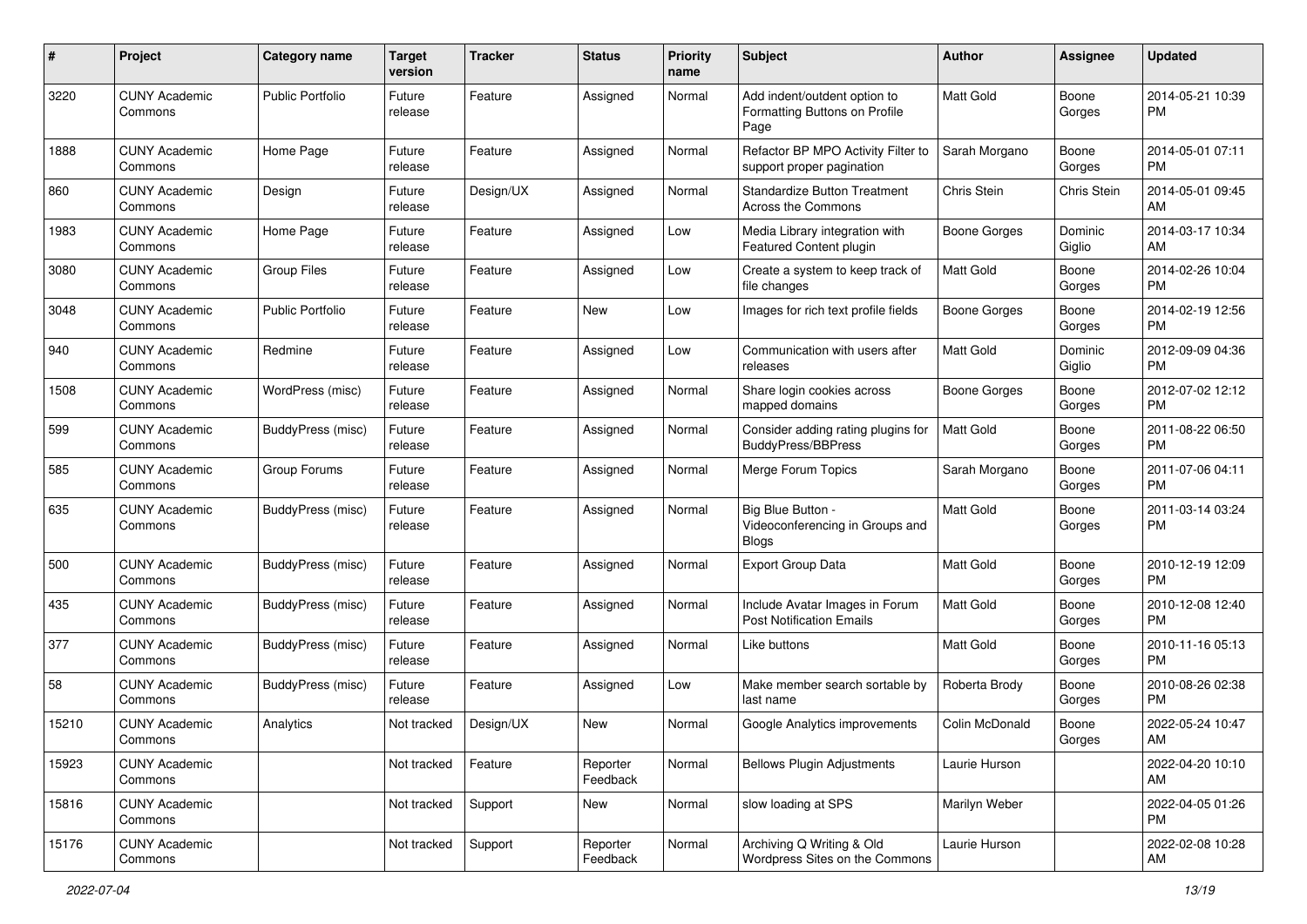| #             | Project                         | <b>Category name</b>     | <b>Target</b><br>version | <b>Tracker</b> | <b>Status</b>        | Priority<br>name | <b>Subject</b>                                                        | Author           | <b>Assignee</b>   | <b>Updated</b>                |
|---------------|---------------------------------|--------------------------|--------------------------|----------------|----------------------|------------------|-----------------------------------------------------------------------|------------------|-------------------|-------------------------------|
| 3220          | <b>CUNY Academic</b><br>Commons | <b>Public Portfolio</b>  | Future<br>release        | Feature        | Assigned             | Normal           | Add indent/outdent option to<br>Formatting Buttons on Profile<br>Page | <b>Matt Gold</b> | Boone<br>Gorges   | 2014-05-21 10:39<br><b>PM</b> |
| 1888          | <b>CUNY Academic</b><br>Commons | Home Page                | Future<br>release        | Feature        | Assigned             | Normal           | Refactor BP MPO Activity Filter to<br>support proper pagination       | Sarah Morgano    | Boone<br>Gorges   | 2014-05-01 07:11<br><b>PM</b> |
| 860           | <b>CUNY Academic</b><br>Commons | Design                   | Future<br>release        | Design/UX      | Assigned             | Normal           | <b>Standardize Button Treatment</b><br>Across the Commons             | Chris Stein      | Chris Stein       | 2014-05-01 09:45<br>AM        |
| 1983          | <b>CUNY Academic</b><br>Commons | Home Page                | Future<br>release        | Feature        | Assigned             | Low              | Media Library integration with<br>Featured Content plugin             | Boone Gorges     | Dominic<br>Giglio | 2014-03-17 10:34<br>AM        |
| 3080          | <b>CUNY Academic</b><br>Commons | <b>Group Files</b>       | Future<br>release        | Feature        | Assigned             | Low              | Create a system to keep track of<br>file changes                      | Matt Gold        | Boone<br>Gorges   | 2014-02-26 10:04<br><b>PM</b> |
| 3048          | <b>CUNY Academic</b><br>Commons | <b>Public Portfolio</b>  | Future<br>release        | Feature        | New                  | Low              | Images for rich text profile fields                                   | Boone Gorges     | Boone<br>Gorges   | 2014-02-19 12:56<br><b>PM</b> |
| $ 940\rangle$ | <b>CUNY Academic</b><br>Commons | Redmine                  | Future<br>release        | Feature        | Assigned             | Low              | Communication with users after<br>releases                            | <b>Matt Gold</b> | Dominic<br>Giglio | 2012-09-09 04:36<br><b>PM</b> |
| 1508          | <b>CUNY Academic</b><br>Commons | WordPress (misc)         | Future<br>release        | Feature        | Assigned             | Normal           | Share login cookies across<br>mapped domains                          | Boone Gorges     | Boone<br>Gorges   | 2012-07-02 12:12<br><b>PM</b> |
| 599           | <b>CUNY Academic</b><br>Commons | <b>BuddyPress</b> (misc) | Future<br>release        | Feature        | Assigned             | Normal           | Consider adding rating plugins for<br><b>BuddyPress/BBPress</b>       | <b>Matt Gold</b> | Boone<br>Gorges   | 2011-08-22 06:50<br><b>PM</b> |
| 585           | <b>CUNY Academic</b><br>Commons | Group Forums             | Future<br>release        | Feature        | Assigned             | Normal           | Merge Forum Topics                                                    | Sarah Morgano    | Boone<br>Gorges   | 2011-07-06 04:11<br><b>PM</b> |
| 635           | <b>CUNY Academic</b><br>Commons | BuddyPress (misc)        | Future<br>release        | Feature        | Assigned             | Normal           | Big Blue Button -<br>Videoconferencing in Groups and<br><b>Blogs</b>  | Matt Gold        | Boone<br>Gorges   | 2011-03-14 03:24<br><b>PM</b> |
| 500           | <b>CUNY Academic</b><br>Commons | BuddyPress (misc)        | Future<br>release        | Feature        | Assigned             | Normal           | Export Group Data                                                     | Matt Gold        | Boone<br>Gorges   | 2010-12-19 12:09<br><b>PM</b> |
| 435           | <b>CUNY Academic</b><br>Commons | <b>BuddyPress</b> (misc) | Future<br>release        | Feature        | Assigned             | Normal           | Include Avatar Images in Forum<br><b>Post Notification Emails</b>     | <b>Matt Gold</b> | Boone<br>Gorges   | 2010-12-08 12:40<br><b>PM</b> |
| 377           | <b>CUNY Academic</b><br>Commons | BuddyPress (misc)        | Future<br>release        | Feature        | Assigned             | Normal           | Like buttons                                                          | Matt Gold        | Boone<br>Gorges   | 2010-11-16 05:13<br><b>PM</b> |
| 58            | <b>CUNY Academic</b><br>Commons | BuddyPress (misc)        | Future<br>release        | Feature        | Assigned             | Low              | Make member search sortable by<br>last name                           | Roberta Brody    | Boone<br>Gorges   | 2010-08-26 02:38<br><b>PM</b> |
| 15210         | <b>CUNY Academic</b><br>Commons | Analytics                | Not tracked              | Design/UX      | New                  | Normal           | Google Analytics improvements                                         | Colin McDonald   | Boone<br>Gorges   | 2022-05-24 10:47<br>AM        |
| 15923         | <b>CUNY Academic</b><br>Commons |                          | Not tracked              | Feature        | Reporter<br>Feedback | Normal           | <b>Bellows Plugin Adjustments</b>                                     | Laurie Hurson    |                   | 2022-04-20 10:10<br>AM        |
| 15816         | <b>CUNY Academic</b><br>Commons |                          | Not tracked              | Support        | New                  | Normal           | slow loading at SPS                                                   | Marilyn Weber    |                   | 2022-04-05 01:26<br><b>PM</b> |
| 15176         | <b>CUNY Academic</b><br>Commons |                          | Not tracked              | Support        | Reporter<br>Feedback | Normal           | Archiving Q Writing & Old<br>Wordpress Sites on the Commons           | Laurie Hurson    |                   | 2022-02-08 10:28<br>AM        |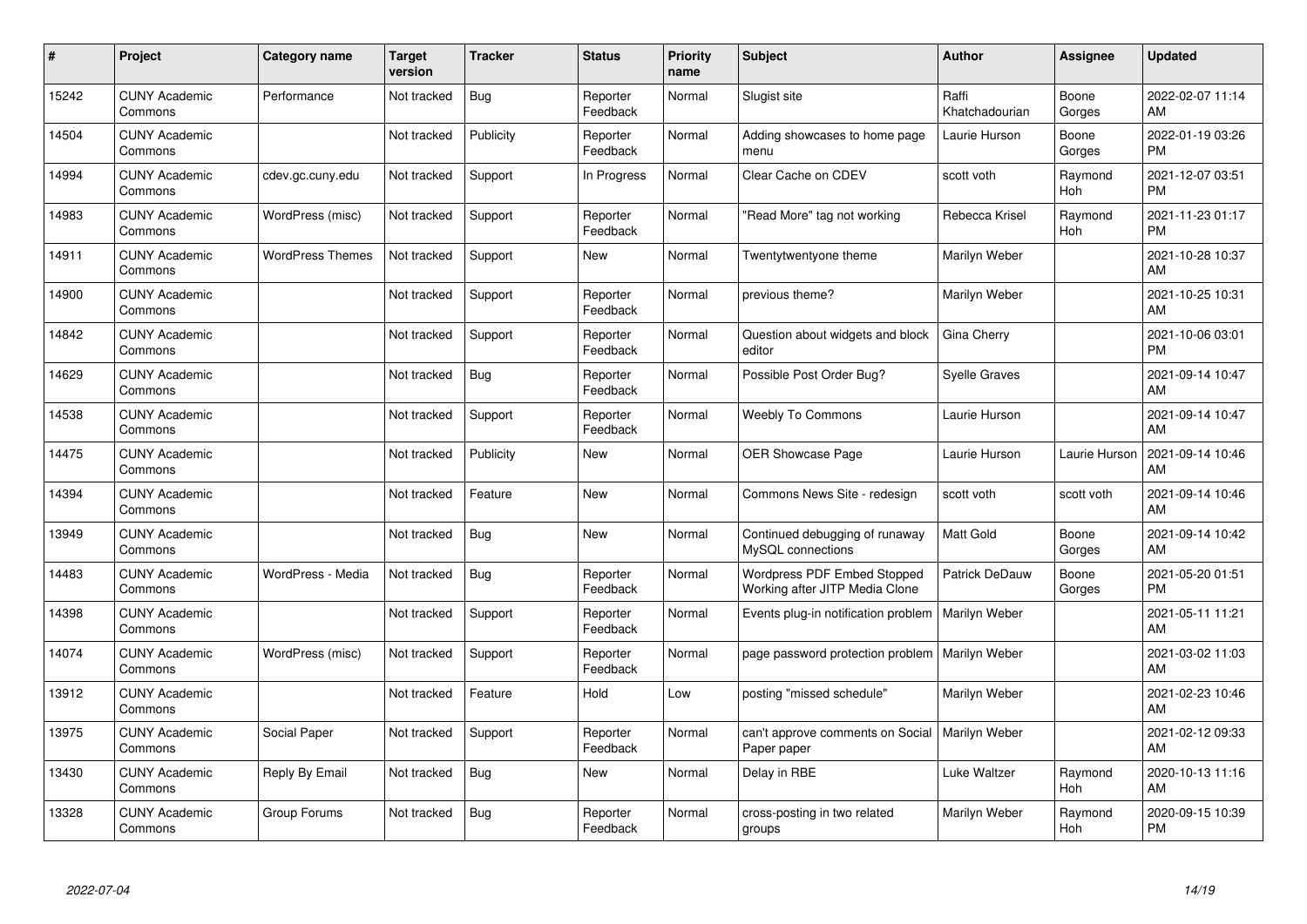| #     | Project                         | <b>Category name</b>    | <b>Target</b><br>version | <b>Tracker</b> | <b>Status</b>        | <b>Priority</b><br>name | <b>Subject</b>                                                | <b>Author</b>           | <b>Assignee</b> | <b>Updated</b>                |
|-------|---------------------------------|-------------------------|--------------------------|----------------|----------------------|-------------------------|---------------------------------------------------------------|-------------------------|-----------------|-------------------------------|
| 15242 | <b>CUNY Academic</b><br>Commons | Performance             | Not tracked              | <b>Bug</b>     | Reporter<br>Feedback | Normal                  | Slugist site                                                  | Raffi<br>Khatchadourian | Boone<br>Gorges | 2022-02-07 11:14<br>AM        |
| 14504 | <b>CUNY Academic</b><br>Commons |                         | Not tracked              | Publicity      | Reporter<br>Feedback | Normal                  | Adding showcases to home page<br>menu                         | Laurie Hurson           | Boone<br>Gorges | 2022-01-19 03:26<br><b>PM</b> |
| 14994 | <b>CUNY Academic</b><br>Commons | cdev.gc.cuny.edu        | Not tracked              | Support        | In Progress          | Normal                  | Clear Cache on CDEV                                           | scott voth              | Raymond<br>Hoh  | 2021-12-07 03:51<br><b>PM</b> |
| 14983 | <b>CUNY Academic</b><br>Commons | WordPress (misc)        | Not tracked              | Support        | Reporter<br>Feedback | Normal                  | "Read More" tag not working                                   | Rebecca Krisel          | Raymond<br>Hoh  | 2021-11-23 01:17<br><b>PM</b> |
| 14911 | <b>CUNY Academic</b><br>Commons | <b>WordPress Themes</b> | Not tracked              | Support        | <b>New</b>           | Normal                  | Twentytwentyone theme                                         | Marilyn Weber           |                 | 2021-10-28 10:37<br>AM        |
| 14900 | <b>CUNY Academic</b><br>Commons |                         | Not tracked              | Support        | Reporter<br>Feedback | Normal                  | previous theme?                                               | Marilyn Weber           |                 | 2021-10-25 10:31<br>AM        |
| 14842 | <b>CUNY Academic</b><br>Commons |                         | Not tracked              | Support        | Reporter<br>Feedback | Normal                  | Question about widgets and block<br>editor                    | Gina Cherry             |                 | 2021-10-06 03:01<br><b>PM</b> |
| 14629 | <b>CUNY Academic</b><br>Commons |                         | Not tracked              | Bug            | Reporter<br>Feedback | Normal                  | Possible Post Order Bug?                                      | <b>Syelle Graves</b>    |                 | 2021-09-14 10:47<br>AM        |
| 14538 | <b>CUNY Academic</b><br>Commons |                         | Not tracked              | Support        | Reporter<br>Feedback | Normal                  | <b>Weebly To Commons</b>                                      | Laurie Hurson           |                 | 2021-09-14 10:47<br>AM        |
| 14475 | <b>CUNY Academic</b><br>Commons |                         | Not tracked              | Publicity      | New                  | Normal                  | OER Showcase Page                                             | Laurie Hurson           | Laurie Hurson   | 2021-09-14 10:46<br>AM        |
| 14394 | <b>CUNY Academic</b><br>Commons |                         | Not tracked              | Feature        | New                  | Normal                  | Commons News Site - redesign                                  | scott voth              | scott voth      | 2021-09-14 10:46<br>AM        |
| 13949 | <b>CUNY Academic</b><br>Commons |                         | Not tracked              | Bug            | New                  | Normal                  | Continued debugging of runaway<br>MySQL connections           | <b>Matt Gold</b>        | Boone<br>Gorges | 2021-09-14 10:42<br>AM        |
| 14483 | <b>CUNY Academic</b><br>Commons | WordPress - Media       | Not tracked              | <b>Bug</b>     | Reporter<br>Feedback | Normal                  | Wordpress PDF Embed Stopped<br>Working after JITP Media Clone | Patrick DeDauw          | Boone<br>Gorges | 2021-05-20 01:51<br><b>PM</b> |
| 14398 | <b>CUNY Academic</b><br>Commons |                         | Not tracked              | Support        | Reporter<br>Feedback | Normal                  | Events plug-in notification problem                           | <b>Marilyn Weber</b>    |                 | 2021-05-11 11:21<br>AM        |
| 14074 | <b>CUNY Academic</b><br>Commons | WordPress (misc)        | Not tracked              | Support        | Reporter<br>Feedback | Normal                  | page password protection problem                              | Marilyn Weber           |                 | 2021-03-02 11:03<br>AM        |
| 13912 | <b>CUNY Academic</b><br>Commons |                         | Not tracked              | Feature        | Hold                 | Low                     | posting "missed schedule"                                     | Marilyn Weber           |                 | 2021-02-23 10:46<br>AM        |
| 13975 | <b>CUNY Academic</b><br>Commons | Social Paper            | Not tracked              | Support        | Reporter<br>Feedback | Normal                  | can't approve comments on Social<br>Paper paper               | Marilyn Weber           |                 | 2021-02-12 09:33<br>AM        |
| 13430 | <b>CUNY Academic</b><br>Commons | Reply By Email          | Not tracked              | Bug            | New                  | Normal                  | Delay in RBE                                                  | Luke Waltzer            | Raymond<br>Hoh  | 2020-10-13 11:16<br>AM        |
| 13328 | <b>CUNY Academic</b><br>Commons | Group Forums            | Not tracked              | Bug            | Reporter<br>Feedback | Normal                  | cross-posting in two related<br>groups                        | Marilyn Weber           | Raymond<br>Hoh  | 2020-09-15 10:39<br><b>PM</b> |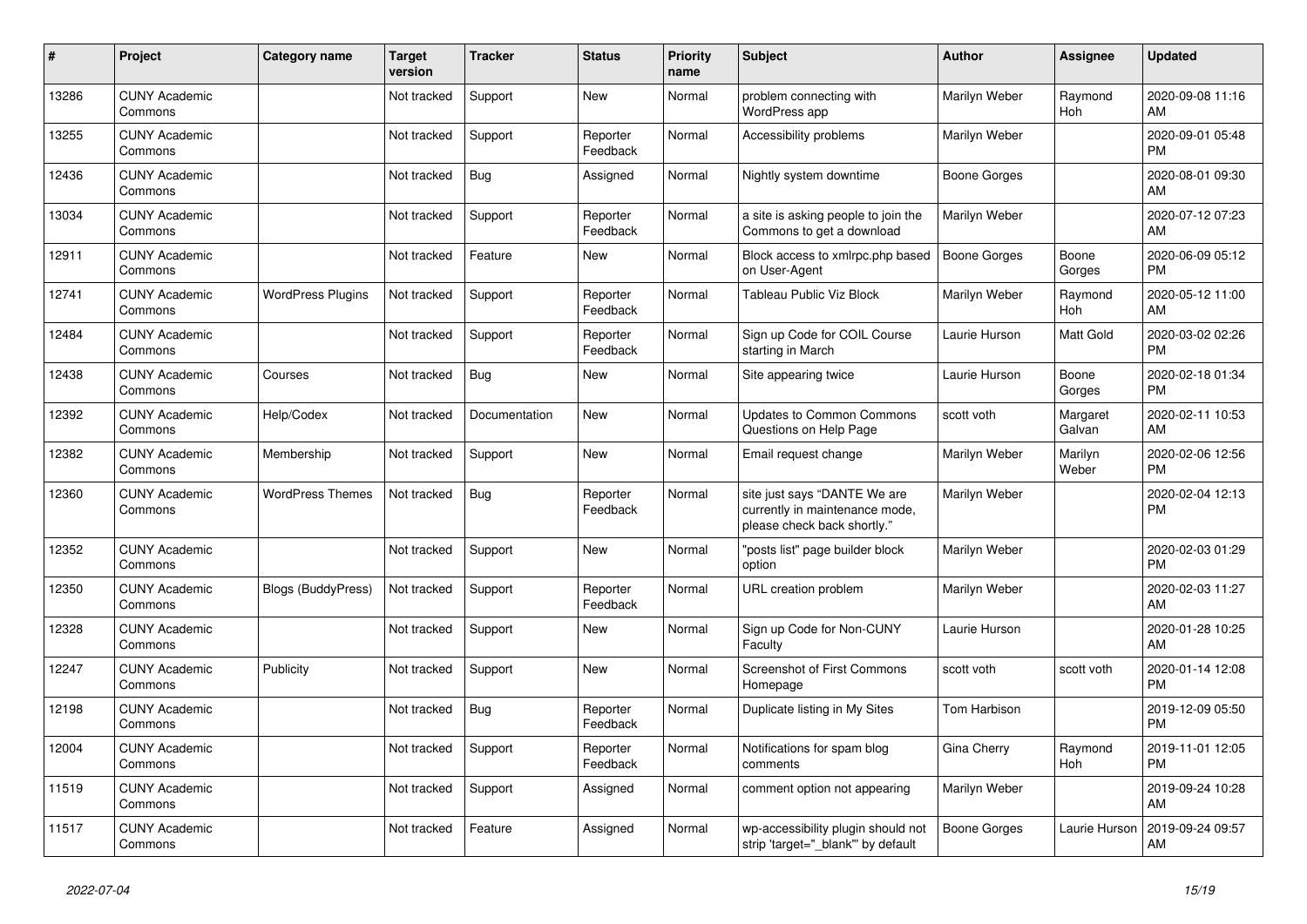| #     | Project                         | Category name            | <b>Target</b><br>version | <b>Tracker</b> | <b>Status</b>        | <b>Priority</b><br>name | <b>Subject</b>                                                                                | <b>Author</b>       | Assignee           | <b>Updated</b>                |
|-------|---------------------------------|--------------------------|--------------------------|----------------|----------------------|-------------------------|-----------------------------------------------------------------------------------------------|---------------------|--------------------|-------------------------------|
| 13286 | <b>CUNY Academic</b><br>Commons |                          | Not tracked              | Support        | <b>New</b>           | Normal                  | problem connecting with<br>WordPress app                                                      | Marilyn Weber       | Raymond<br>Hoh     | 2020-09-08 11:16<br>AM        |
| 13255 | <b>CUNY Academic</b><br>Commons |                          | Not tracked              | Support        | Reporter<br>Feedback | Normal                  | Accessibility problems                                                                        | Marilyn Weber       |                    | 2020-09-01 05:48<br><b>PM</b> |
| 12436 | <b>CUNY Academic</b><br>Commons |                          | Not tracked              | Bug            | Assigned             | Normal                  | Nightly system downtime                                                                       | <b>Boone Gorges</b> |                    | 2020-08-01 09:30<br>AM        |
| 13034 | <b>CUNY Academic</b><br>Commons |                          | Not tracked              | Support        | Reporter<br>Feedback | Normal                  | a site is asking people to join the<br>Commons to get a download                              | Marilyn Weber       |                    | 2020-07-12 07:23<br>AM        |
| 12911 | <b>CUNY Academic</b><br>Commons |                          | Not tracked              | Feature        | New                  | Normal                  | Block access to xmlrpc.php based<br>on User-Agent                                             | Boone Gorges        | Boone<br>Gorges    | 2020-06-09 05:12<br><b>PM</b> |
| 12741 | <b>CUNY Academic</b><br>Commons | <b>WordPress Plugins</b> | Not tracked              | Support        | Reporter<br>Feedback | Normal                  | Tableau Public Viz Block                                                                      | Marilyn Weber       | Raymond<br>Hoh     | 2020-05-12 11:00<br><b>AM</b> |
| 12484 | <b>CUNY Academic</b><br>Commons |                          | Not tracked              | Support        | Reporter<br>Feedback | Normal                  | Sign up Code for COIL Course<br>starting in March                                             | Laurie Hurson       | Matt Gold          | 2020-03-02 02:26<br><b>PM</b> |
| 12438 | <b>CUNY Academic</b><br>Commons | Courses                  | Not tracked              | Bug            | New                  | Normal                  | Site appearing twice                                                                          | Laurie Hurson       | Boone<br>Gorges    | 2020-02-18 01:34<br><b>PM</b> |
| 12392 | <b>CUNY Academic</b><br>Commons | Help/Codex               | Not tracked              | Documentation  | New                  | Normal                  | <b>Updates to Common Commons</b><br>Questions on Help Page                                    | scott voth          | Margaret<br>Galvan | 2020-02-11 10:53<br>AM        |
| 12382 | <b>CUNY Academic</b><br>Commons | Membership               | Not tracked              | Support        | New                  | Normal                  | Email request change                                                                          | Marilyn Weber       | Marilyn<br>Weber   | 2020-02-06 12:56<br><b>PM</b> |
| 12360 | <b>CUNY Academic</b><br>Commons | <b>WordPress Themes</b>  | Not tracked              | Bug            | Reporter<br>Feedback | Normal                  | site just says "DANTE We are<br>currently in maintenance mode,<br>please check back shortly." | Marilyn Weber       |                    | 2020-02-04 12:13<br>PM        |
| 12352 | <b>CUNY Academic</b><br>Commons |                          | Not tracked              | Support        | New                  | Normal                  | "posts list" page builder block<br>option                                                     | Marilyn Weber       |                    | 2020-02-03 01:29<br><b>PM</b> |
| 12350 | <b>CUNY Academic</b><br>Commons | Blogs (BuddyPress)       | Not tracked              | Support        | Reporter<br>Feedback | Normal                  | URL creation problem                                                                          | Marilyn Weber       |                    | 2020-02-03 11:27<br>AM        |
| 12328 | <b>CUNY Academic</b><br>Commons |                          | Not tracked              | Support        | New                  | Normal                  | Sign up Code for Non-CUNY<br>Faculty                                                          | Laurie Hurson       |                    | 2020-01-28 10:25<br>AM        |
| 12247 | <b>CUNY Academic</b><br>Commons | Publicity                | Not tracked              | Support        | <b>New</b>           | Normal                  | <b>Screenshot of First Commons</b><br>Homepage                                                | scott voth          | scott voth         | 2020-01-14 12:08<br><b>PM</b> |
| 12198 | <b>CUNY Academic</b><br>Commons |                          | Not tracked              | Bug            | Reporter<br>Feedback | Normal                  | Duplicate listing in My Sites                                                                 | Tom Harbison        |                    | 2019-12-09 05:50<br><b>PM</b> |
| 12004 | <b>CUNY Academic</b><br>Commons |                          | Not tracked              | Support        | Reporter<br>Feedback | Normal                  | Notifications for spam blog<br>comments                                                       | Gina Cherry         | Raymond<br>Hoh     | 2019-11-01 12:05<br><b>PM</b> |
| 11519 | <b>CUNY Academic</b><br>Commons |                          | Not tracked              | Support        | Assigned             | Normal                  | comment option not appearing                                                                  | Marilyn Weber       |                    | 2019-09-24 10:28<br>AM        |
| 11517 | <b>CUNY Academic</b><br>Commons |                          | Not tracked              | Feature        | Assigned             | Normal                  | wp-accessibility plugin should not<br>strip 'target="_blank"' by default                      | <b>Boone Gorges</b> | Laurie Hurson      | 2019-09-24 09:57<br>AM        |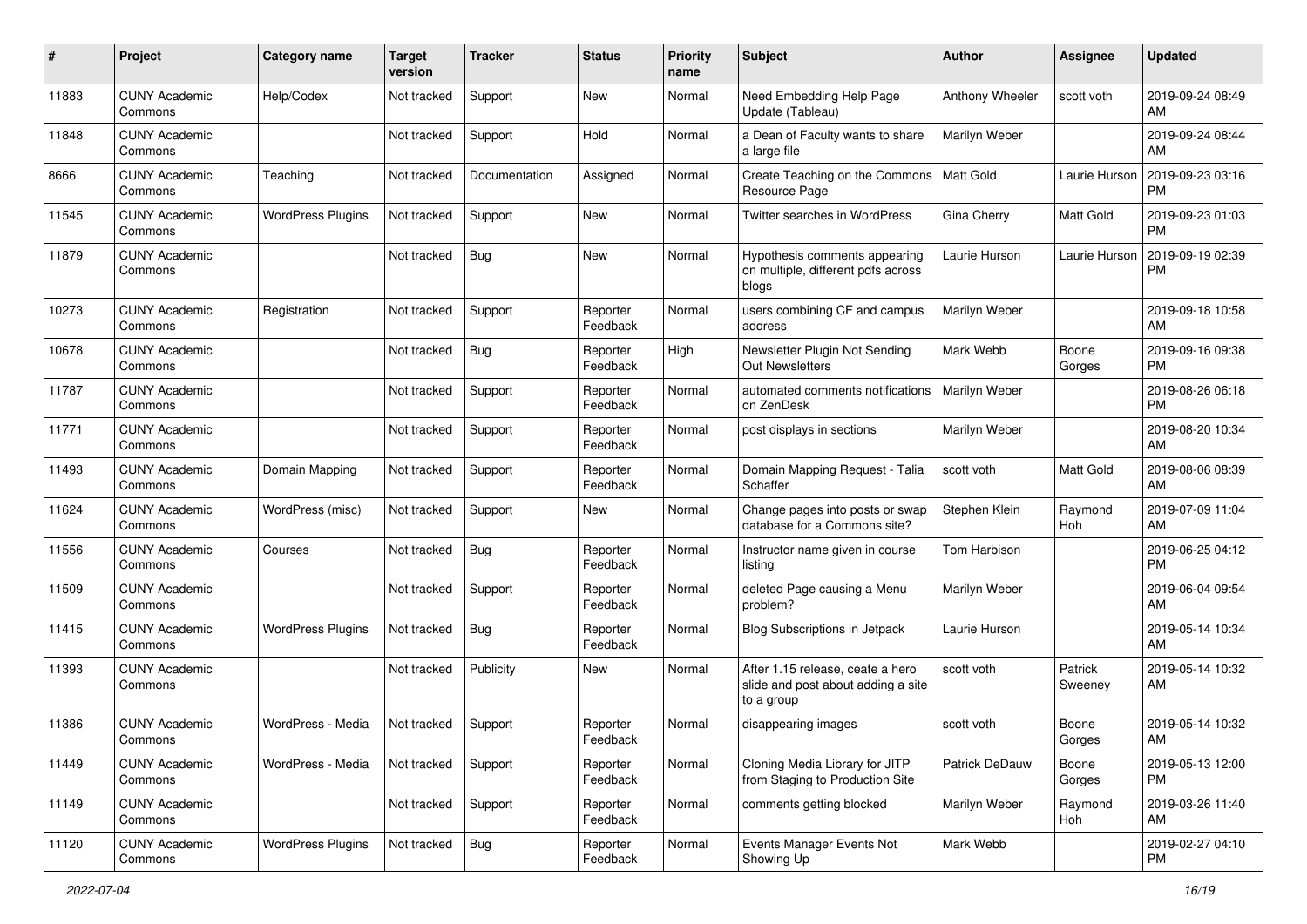| #     | Project                         | <b>Category name</b>     | <b>Target</b><br>version | <b>Tracker</b> | <b>Status</b>        | <b>Priority</b><br>name | <b>Subject</b>                                                                       | <b>Author</b>   | <b>Assignee</b>    | <b>Updated</b>                |
|-------|---------------------------------|--------------------------|--------------------------|----------------|----------------------|-------------------------|--------------------------------------------------------------------------------------|-----------------|--------------------|-------------------------------|
| 11883 | <b>CUNY Academic</b><br>Commons | Help/Codex               | Not tracked              | Support        | New                  | Normal                  | Need Embedding Help Page<br>Update (Tableau)                                         | Anthony Wheeler | scott voth         | 2019-09-24 08:49<br>AM        |
| 11848 | <b>CUNY Academic</b><br>Commons |                          | Not tracked              | Support        | Hold                 | Normal                  | a Dean of Faculty wants to share<br>a large file                                     | Marilyn Weber   |                    | 2019-09-24 08:44<br>AM        |
| 8666  | <b>CUNY Academic</b><br>Commons | Teaching                 | Not tracked              | Documentation  | Assigned             | Normal                  | Create Teaching on the Commons<br>Resource Page                                      | Matt Gold       | Laurie Hurson      | 2019-09-23 03:16<br><b>PM</b> |
| 11545 | <b>CUNY Academic</b><br>Commons | <b>WordPress Plugins</b> | Not tracked              | Support        | New                  | Normal                  | <b>Twitter searches in WordPress</b>                                                 | Gina Cherry     | Matt Gold          | 2019-09-23 01:03<br><b>PM</b> |
| 11879 | <b>CUNY Academic</b><br>Commons |                          | Not tracked              | Bug            | New                  | Normal                  | Hypothesis comments appearing<br>on multiple, different pdfs across<br>blogs         | Laurie Hurson   | Laurie Hurson      | 2019-09-19 02:39<br><b>PM</b> |
| 10273 | <b>CUNY Academic</b><br>Commons | Registration             | Not tracked              | Support        | Reporter<br>Feedback | Normal                  | users combining CF and campus<br>address                                             | Marilyn Weber   |                    | 2019-09-18 10:58<br>AM        |
| 10678 | <b>CUNY Academic</b><br>Commons |                          | Not tracked              | Bug            | Reporter<br>Feedback | High                    | Newsletter Plugin Not Sending<br>Out Newsletters                                     | Mark Webb       | Boone<br>Gorges    | 2019-09-16 09:38<br><b>PM</b> |
| 11787 | <b>CUNY Academic</b><br>Commons |                          | Not tracked              | Support        | Reporter<br>Feedback | Normal                  | automated comments notifications<br>on ZenDesk                                       | Marilyn Weber   |                    | 2019-08-26 06:18<br><b>PM</b> |
| 11771 | <b>CUNY Academic</b><br>Commons |                          | Not tracked              | Support        | Reporter<br>Feedback | Normal                  | post displays in sections                                                            | Marilyn Weber   |                    | 2019-08-20 10:34<br>AM        |
| 11493 | <b>CUNY Academic</b><br>Commons | Domain Mapping           | Not tracked              | Support        | Reporter<br>Feedback | Normal                  | Domain Mapping Request - Talia<br>Schaffer                                           | scott voth      | <b>Matt Gold</b>   | 2019-08-06 08:39<br>AM        |
| 11624 | <b>CUNY Academic</b><br>Commons | WordPress (misc)         | Not tracked              | Support        | New                  | Normal                  | Change pages into posts or swap<br>database for a Commons site?                      | Stephen Klein   | Raymond<br>Hoh     | 2019-07-09 11:04<br>AM        |
| 11556 | <b>CUNY Academic</b><br>Commons | Courses                  | Not tracked              | Bug            | Reporter<br>Feedback | Normal                  | Instructor name given in course<br>listing                                           | Tom Harbison    |                    | 2019-06-25 04:12<br><b>PM</b> |
| 11509 | <b>CUNY Academic</b><br>Commons |                          | Not tracked              | Support        | Reporter<br>Feedback | Normal                  | deleted Page causing a Menu<br>problem?                                              | Marilyn Weber   |                    | 2019-06-04 09:54<br>AM        |
| 11415 | <b>CUNY Academic</b><br>Commons | <b>WordPress Plugins</b> | Not tracked              | Bug            | Reporter<br>Feedback | Normal                  | <b>Blog Subscriptions in Jetpack</b>                                                 | Laurie Hurson   |                    | 2019-05-14 10:34<br>AM        |
| 11393 | <b>CUNY Academic</b><br>Commons |                          | Not tracked              | Publicity      | New                  | Normal                  | After 1.15 release, ceate a hero<br>slide and post about adding a site<br>to a group | scott voth      | Patrick<br>Sweeney | 2019-05-14 10:32<br>AM        |
| 11386 | <b>CUNY Academic</b><br>Commons | WordPress - Media        | Not tracked              | Support        | Reporter<br>Feedback | Normal                  | disappearing images                                                                  | scott voth      | Boone<br>Gorges    | 2019-05-14 10:32<br>AM        |
| 11449 | <b>CUNY Academic</b><br>Commons | WordPress - Media        | Not tracked              | Support        | Reporter<br>Feedback | Normal                  | Cloning Media Library for JITP<br>from Staging to Production Site                    | Patrick DeDauw  | Boone<br>Gorges    | 2019-05-13 12:00<br><b>PM</b> |
| 11149 | <b>CUNY Academic</b><br>Commons |                          | Not tracked              | Support        | Reporter<br>Feedback | Normal                  | comments getting blocked                                                             | Marilyn Weber   | Raymond<br>Hoh     | 2019-03-26 11:40<br>AM        |
| 11120 | <b>CUNY Academic</b><br>Commons | <b>WordPress Plugins</b> | Not tracked              | Bug            | Reporter<br>Feedback | Normal                  | Events Manager Events Not<br>Showing Up                                              | Mark Webb       |                    | 2019-02-27 04:10<br><b>PM</b> |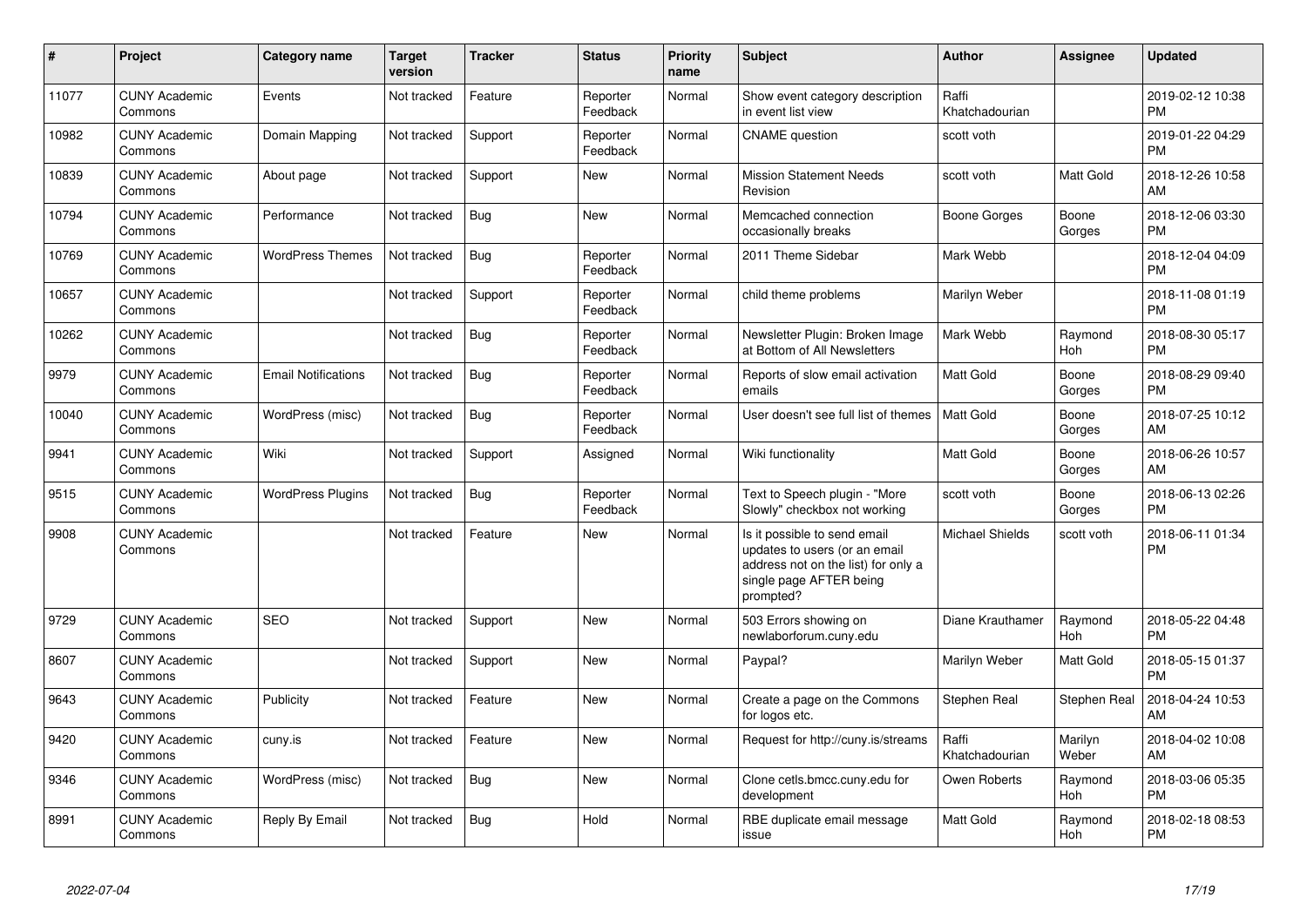| #     | <b>Project</b>                  | Category name              | <b>Target</b><br>version | <b>Tracker</b> | <b>Status</b>        | <b>Priority</b><br>name | <b>Subject</b>                                                                                                                               | <b>Author</b>           | Assignee         | <b>Updated</b>                |
|-------|---------------------------------|----------------------------|--------------------------|----------------|----------------------|-------------------------|----------------------------------------------------------------------------------------------------------------------------------------------|-------------------------|------------------|-------------------------------|
| 11077 | <b>CUNY Academic</b><br>Commons | Events                     | Not tracked              | Feature        | Reporter<br>Feedback | Normal                  | Show event category description<br>in event list view                                                                                        | Raffi<br>Khatchadourian |                  | 2019-02-12 10:38<br><b>PM</b> |
| 10982 | <b>CUNY Academic</b><br>Commons | Domain Mapping             | Not tracked              | Support        | Reporter<br>Feedback | Normal                  | <b>CNAME</b> question                                                                                                                        | scott voth              |                  | 2019-01-22 04:29<br><b>PM</b> |
| 10839 | <b>CUNY Academic</b><br>Commons | About page                 | Not tracked              | Support        | New                  | Normal                  | <b>Mission Statement Needs</b><br>Revision                                                                                                   | scott voth              | Matt Gold        | 2018-12-26 10:58<br>AM        |
| 10794 | <b>CUNY Academic</b><br>Commons | Performance                | Not tracked              | Bug            | <b>New</b>           | Normal                  | Memcached connection<br>occasionally breaks                                                                                                  | Boone Gorges            | Boone<br>Gorges  | 2018-12-06 03:30<br><b>PM</b> |
| 10769 | <b>CUNY Academic</b><br>Commons | <b>WordPress Themes</b>    | Not tracked              | <b>Bug</b>     | Reporter<br>Feedback | Normal                  | 2011 Theme Sidebar                                                                                                                           | Mark Webb               |                  | 2018-12-04 04:09<br><b>PM</b> |
| 10657 | <b>CUNY Academic</b><br>Commons |                            | Not tracked              | Support        | Reporter<br>Feedback | Normal                  | child theme problems                                                                                                                         | Marilyn Weber           |                  | 2018-11-08 01:19<br><b>PM</b> |
| 10262 | <b>CUNY Academic</b><br>Commons |                            | Not tracked              | Bug            | Reporter<br>Feedback | Normal                  | Newsletter Plugin: Broken Image<br>at Bottom of All Newsletters                                                                              | Mark Webb               | Raymond<br>Hoh   | 2018-08-30 05:17<br><b>PM</b> |
| 9979  | <b>CUNY Academic</b><br>Commons | <b>Email Notifications</b> | Not tracked              | <b>Bug</b>     | Reporter<br>Feedback | Normal                  | Reports of slow email activation<br>emails                                                                                                   | <b>Matt Gold</b>        | Boone<br>Gorges  | 2018-08-29 09:40<br><b>PM</b> |
| 10040 | <b>CUNY Academic</b><br>Commons | WordPress (misc)           | Not tracked              | <b>Bug</b>     | Reporter<br>Feedback | Normal                  | User doesn't see full list of themes                                                                                                         | <b>Matt Gold</b>        | Boone<br>Gorges  | 2018-07-25 10:12<br>AM        |
| 9941  | <b>CUNY Academic</b><br>Commons | Wiki                       | Not tracked              | Support        | Assigned             | Normal                  | Wiki functionality                                                                                                                           | <b>Matt Gold</b>        | Boone<br>Gorges  | 2018-06-26 10:57<br>AM        |
| 9515  | <b>CUNY Academic</b><br>Commons | <b>WordPress Plugins</b>   | Not tracked              | Bug            | Reporter<br>Feedback | Normal                  | Text to Speech plugin - "More<br>Slowly" checkbox not working                                                                                | scott voth              | Boone<br>Gorges  | 2018-06-13 02:26<br><b>PM</b> |
| 9908  | <b>CUNY Academic</b><br>Commons |                            | Not tracked              | Feature        | New                  | Normal                  | Is it possible to send email<br>updates to users (or an email<br>address not on the list) for only a<br>single page AFTER being<br>prompted? | <b>Michael Shields</b>  | scott voth       | 2018-06-11 01:34<br><b>PM</b> |
| 9729  | <b>CUNY Academic</b><br>Commons | <b>SEO</b>                 | Not tracked              | Support        | <b>New</b>           | Normal                  | 503 Errors showing on<br>newlaborforum.cuny.edu                                                                                              | Diane Krauthamer        | Raymond<br>Hoh   | 2018-05-22 04:48<br><b>PM</b> |
| 8607  | <b>CUNY Academic</b><br>Commons |                            | Not tracked              | Support        | <b>New</b>           | Normal                  | Paypal?                                                                                                                                      | Marilyn Weber           | Matt Gold        | 2018-05-15 01:37<br><b>PM</b> |
| 9643  | <b>CUNY Academic</b><br>Commons | Publicity                  | Not tracked              | Feature        | <b>New</b>           | Normal                  | Create a page on the Commons<br>for logos etc.                                                                                               | Stephen Real            | Stephen Real     | 2018-04-24 10:53<br>AM        |
| 9420  | <b>CUNY Academic</b><br>Commons | cuny.is                    | Not tracked              | Feature        | <b>New</b>           | Normal                  | Request for http://cuny.is/streams                                                                                                           | Raffi<br>Khatchadourian | Marilyn<br>Weber | 2018-04-02 10:08<br>AM        |
| 9346  | <b>CUNY Academic</b><br>Commons | WordPress (misc)           | Not tracked              | Bug            | New                  | Normal                  | Clone cetls.bmcc.cuny.edu for<br>development                                                                                                 | Owen Roberts            | Raymond<br>Hoh   | 2018-03-06 05:35<br><b>PM</b> |
| 8991  | <b>CUNY Academic</b><br>Commons | Reply By Email             | Not tracked              | Bug            | Hold                 | Normal                  | RBE duplicate email message<br>issue                                                                                                         | Matt Gold               | Raymond<br>Hoh   | 2018-02-18 08:53<br><b>PM</b> |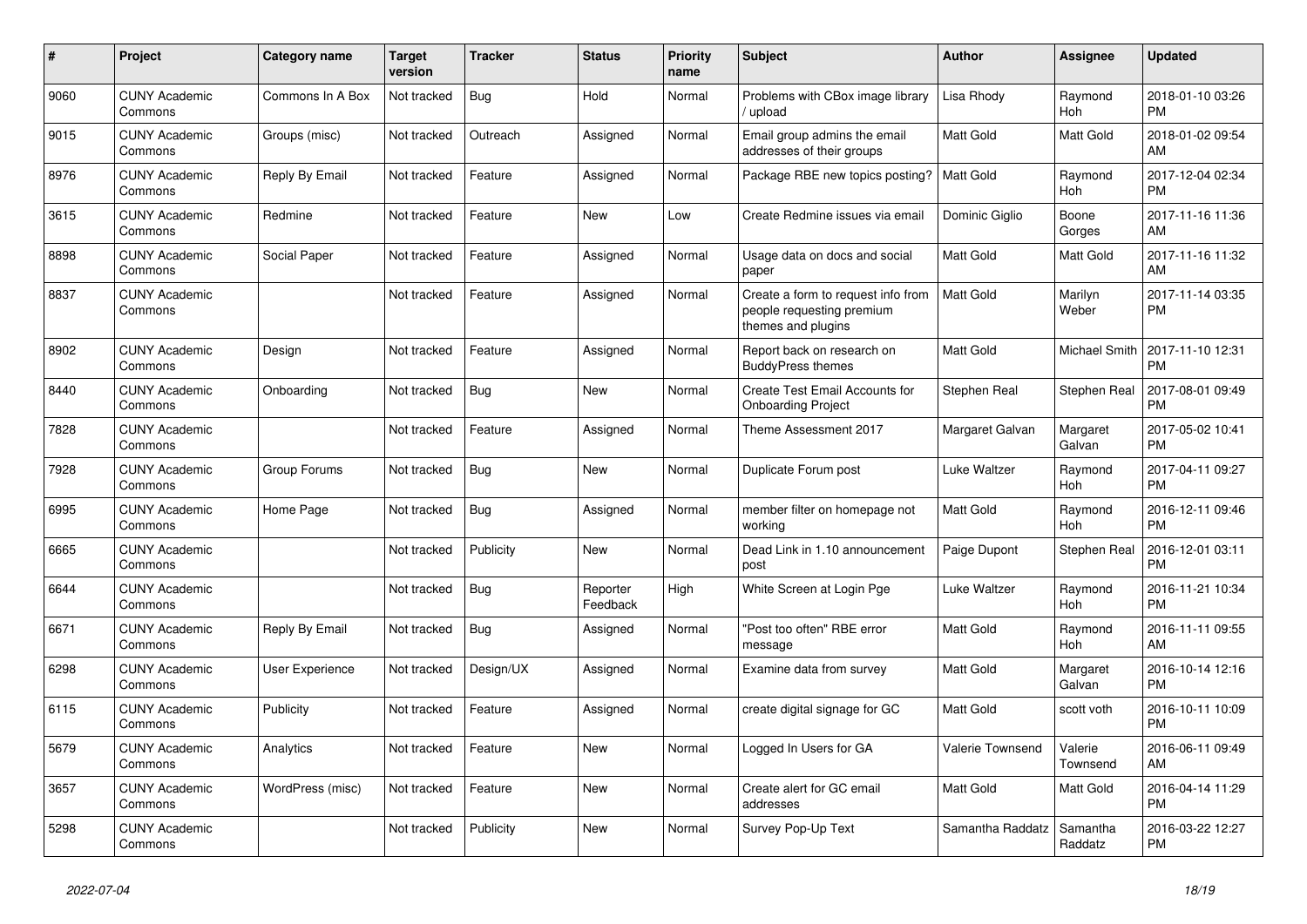| #    | Project                         | Category name    | <b>Target</b><br>version | <b>Tracker</b> | <b>Status</b>        | <b>Priority</b><br>name | <b>Subject</b>                                                                        | <b>Author</b>    | Assignee             | <b>Updated</b>                |
|------|---------------------------------|------------------|--------------------------|----------------|----------------------|-------------------------|---------------------------------------------------------------------------------------|------------------|----------------------|-------------------------------|
| 9060 | <b>CUNY Academic</b><br>Commons | Commons In A Box | Not tracked              | Bug            | Hold                 | Normal                  | Problems with CBox image library<br>/ upload                                          | Lisa Rhody       | Raymond<br>Hoh       | 2018-01-10 03:26<br><b>PM</b> |
| 9015 | <b>CUNY Academic</b><br>Commons | Groups (misc)    | Not tracked              | Outreach       | Assigned             | Normal                  | Email group admins the email<br>addresses of their groups                             | Matt Gold        | Matt Gold            | 2018-01-02 09:54<br>AM        |
| 8976 | <b>CUNY Academic</b><br>Commons | Reply By Email   | Not tracked              | Feature        | Assigned             | Normal                  | Package RBE new topics posting?                                                       | <b>Matt Gold</b> | Raymond<br>Hoh       | 2017-12-04 02:34<br><b>PM</b> |
| 3615 | <b>CUNY Academic</b><br>Commons | Redmine          | Not tracked              | Feature        | <b>New</b>           | Low                     | Create Redmine issues via email                                                       | Dominic Giglio   | Boone<br>Gorges      | 2017-11-16 11:36<br>AM        |
| 8898 | <b>CUNY Academic</b><br>Commons | Social Paper     | Not tracked              | Feature        | Assigned             | Normal                  | Usage data on docs and social<br>paper                                                | Matt Gold        | Matt Gold            | 2017-11-16 11:32<br>AM        |
| 8837 | <b>CUNY Academic</b><br>Commons |                  | Not tracked              | Feature        | Assigned             | Normal                  | Create a form to request info from<br>people requesting premium<br>themes and plugins | <b>Matt Gold</b> | Marilyn<br>Weber     | 2017-11-14 03:35<br><b>PM</b> |
| 8902 | <b>CUNY Academic</b><br>Commons | Design           | Not tracked              | Feature        | Assigned             | Normal                  | Report back on research on<br><b>BuddyPress themes</b>                                | Matt Gold        | <b>Michael Smith</b> | 2017-11-10 12:31<br><b>PM</b> |
| 8440 | <b>CUNY Academic</b><br>Commons | Onboarding       | Not tracked              | <b>Bug</b>     | New                  | Normal                  | Create Test Email Accounts for<br><b>Onboarding Project</b>                           | Stephen Real     | Stephen Real         | 2017-08-01 09:49<br><b>PM</b> |
| 7828 | <b>CUNY Academic</b><br>Commons |                  | Not tracked              | Feature        | Assigned             | Normal                  | Theme Assessment 2017                                                                 | Margaret Galvan  | Margaret<br>Galvan   | 2017-05-02 10:41<br><b>PM</b> |
| 7928 | <b>CUNY Academic</b><br>Commons | Group Forums     | Not tracked              | Bug            | New                  | Normal                  | Duplicate Forum post                                                                  | Luke Waltzer     | Raymond<br>Hoh       | 2017-04-11 09:27<br><b>PM</b> |
| 6995 | <b>CUNY Academic</b><br>Commons | Home Page        | Not tracked              | <b>Bug</b>     | Assigned             | Normal                  | member filter on homepage not<br>workina                                              | Matt Gold        | Raymond<br>Hoh       | 2016-12-11 09:46<br><b>PM</b> |
| 6665 | <b>CUNY Academic</b><br>Commons |                  | Not tracked              | Publicity      | <b>New</b>           | Normal                  | Dead Link in 1.10 announcement<br>post                                                | Paige Dupont     | Stephen Real         | 2016-12-01 03:11<br><b>PM</b> |
| 6644 | <b>CUNY Academic</b><br>Commons |                  | Not tracked              | Bug            | Reporter<br>Feedback | High                    | White Screen at Login Pge                                                             | Luke Waltzer     | Raymond<br>Hoh       | 2016-11-21 10:34<br><b>PM</b> |
| 6671 | <b>CUNY Academic</b><br>Commons | Reply By Email   | Not tracked              | <b>Bug</b>     | Assigned             | Normal                  | "Post too often" RBE error<br>message                                                 | Matt Gold        | Raymond<br>Hoh       | 2016-11-11 09:55<br>AM        |
| 6298 | <b>CUNY Academic</b><br>Commons | User Experience  | Not tracked              | Design/UX      | Assigned             | Normal                  | Examine data from survey                                                              | Matt Gold        | Margaret<br>Galvan   | 2016-10-14 12:16<br><b>PM</b> |
| 6115 | <b>CUNY Academic</b><br>Commons | Publicity        | Not tracked              | Feature        | Assigned             | Normal                  | create digital signage for GC                                                         | <b>Matt Gold</b> | scott voth           | 2016-10-11 10:09<br><b>PM</b> |
| 5679 | <b>CUNY Academic</b><br>Commons | Analytics        | Not tracked              | Feature        | New                  | Normal                  | Logged In Users for GA                                                                | Valerie Townsend | Valerie<br>Townsend  | 2016-06-11 09:49<br>AM        |
| 3657 | <b>CUNY Academic</b><br>Commons | WordPress (misc) | Not tracked              | Feature        | New                  | Normal                  | Create alert for GC email<br>addresses                                                | <b>Matt Gold</b> | Matt Gold            | 2016-04-14 11:29<br><b>PM</b> |
| 5298 | <b>CUNY Academic</b><br>Commons |                  | Not tracked              | Publicity      | <b>New</b>           | Normal                  | Survey Pop-Up Text                                                                    | Samantha Raddatz | Samantha<br>Raddatz  | 2016-03-22 12:27<br><b>PM</b> |